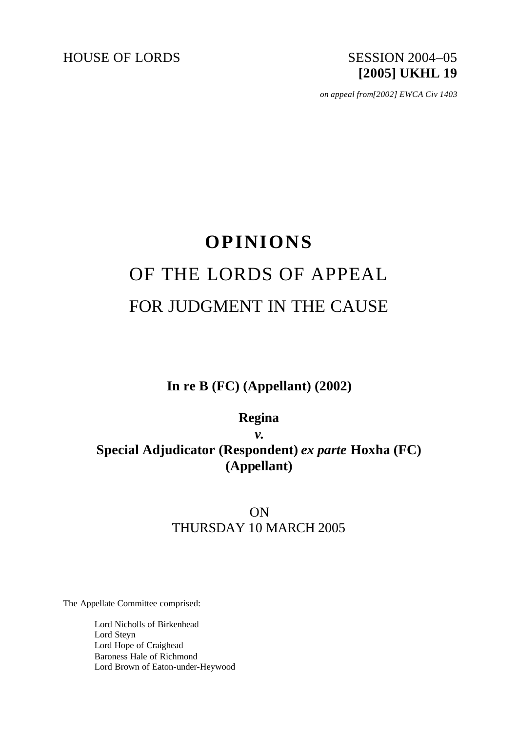# HOUSE OF LORDS SESSION 2004-05 **[2005] UKHL 19**

*on appeal from[2002] EWCA Civ 1403*

# **OPINIONS** OF THE LORDS OF APPEAL FOR JUDGMENT IN THE CAUSE

**In re B (FC) (Appellant) (2002)**

**Regina**

*v.*

**Special Adjudicator (Respondent)** *ex parte* **Hoxha (FC) (Appellant)**

# ON THURSDAY 10 MARCH 2005

The Appellate Committee comprised:

Lord Nicholls of Birkenhead Lord Steyn Lord Hope of Craighead Baroness Hale of Richmond Lord Brown of Eaton-under-Heywood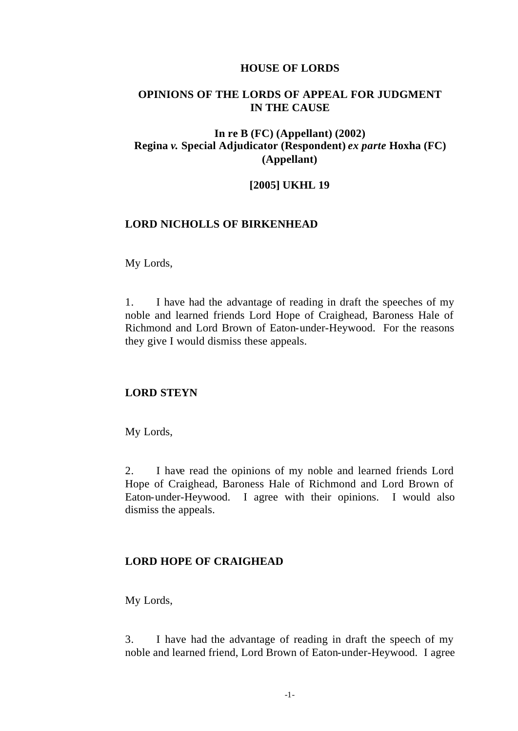#### **HOUSE OF LORDS**

# **OPINIONS OF THE LORDS OF APPEAL FOR JUDGMENT IN THE CAUSE**

# **In re B (FC) (Appellant) (2002) Regina** *v.* **Special Adjudicator (Respondent)** *ex parte* **Hoxha (FC) (Appellant)**

#### **[2005] UKHL 19**

## **LORD NICHOLLS OF BIRKENHEAD**

#### My Lords,

1. I have had the advantage of reading in draft the speeches of my noble and learned friends Lord Hope of Craighead, Baroness Hale of Richmond and Lord Brown of Eaton-under-Heywood. For the reasons they give I would dismiss these appeals.

# **LORD STEYN**

My Lords,

2. I have read the opinions of my noble and learned friends Lord Hope of Craighead, Baroness Hale of Richmond and Lord Brown of Eaton-under-Heywood. I agree with their opinions. I would also dismiss the appeals.

#### **LORD HOPE OF CRAIGHEAD**

My Lords,

3. I have had the advantage of reading in draft the speech of my noble and learned friend, Lord Brown of Eaton-under-Heywood. I agree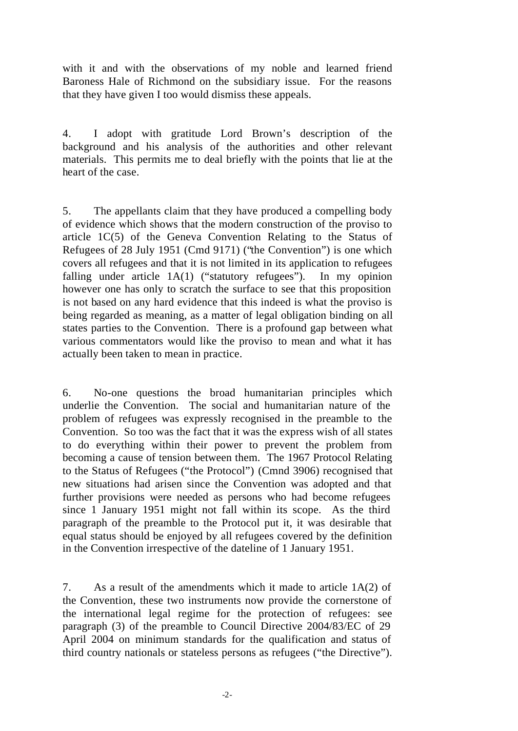with it and with the observations of my noble and learned friend Baroness Hale of Richmond on the subsidiary issue. For the reasons that they have given I too would dismiss these appeals.

4. I adopt with gratitude Lord Brown's description of the background and his analysis of the authorities and other relevant materials. This permits me to deal briefly with the points that lie at the heart of the case.

5. The appellants claim that they have produced a compelling body of evidence which shows that the modern construction of the proviso to article 1C(5) of the Geneva Convention Relating to the Status of Refugees of 28 July 1951 (Cmd 9171) ("the Convention") is one which covers all refugees and that it is not limited in its application to refugees falling under article 1A(1) ("statutory refugees"). In my opinion however one has only to scratch the surface to see that this proposition is not based on any hard evidence that this indeed is what the proviso is being regarded as meaning, as a matter of legal obligation binding on all states parties to the Convention. There is a profound gap between what various commentators would like the proviso to mean and what it has actually been taken to mean in practice.

6. No-one questions the broad humanitarian principles which underlie the Convention. The social and humanitarian nature of the problem of refugees was expressly recognised in the preamble to the Convention. So too was the fact that it was the express wish of all states to do everything within their power to prevent the problem from becoming a cause of tension between them. The 1967 Protocol Relating to the Status of Refugees ("the Protocol") (Cmnd 3906) recognised that new situations had arisen since the Convention was adopted and that further provisions were needed as persons who had become refugees since 1 January 1951 might not fall within its scope. As the third paragraph of the preamble to the Protocol put it, it was desirable that equal status should be enjoyed by all refugees covered by the definition in the Convention irrespective of the dateline of 1 January 1951.

7. As a result of the amendments which it made to article 1A(2) of the Convention, these two instruments now provide the cornerstone of the international legal regime for the protection of refugees: see paragraph (3) of the preamble to Council Directive 2004/83/EC of 29 April 2004 on minimum standards for the qualification and status of third country nationals or stateless persons as refugees ("the Directive").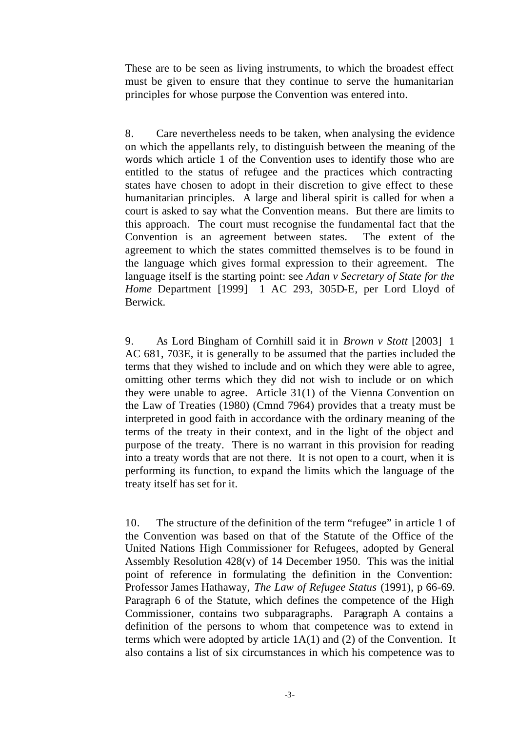These are to be seen as living instruments, to which the broadest effect must be given to ensure that they continue to serve the humanitarian principles for whose purpose the Convention was entered into.

8. Care nevertheless needs to be taken, when analysing the evidence on which the appellants rely, to distinguish between the meaning of the words which article 1 of the Convention uses to identify those who are entitled to the status of refugee and the practices which contracting states have chosen to adopt in their discretion to give effect to these humanitarian principles. A large and liberal spirit is called for when a court is asked to say what the Convention means. But there are limits to this approach. The court must recognise the fundamental fact that the Convention is an agreement between states. The extent of the agreement to which the states committed themselves is to be found in the language which gives formal expression to their agreement. The language itself is the starting point: see *Adan v Secretary of State for the Home* Department [1999] 1 AC 293, 305D-E, per Lord Lloyd of Berwick.

9. As Lord Bingham of Cornhill said it in *Brown v Stott* [2003] 1 AC 681, 703E, it is generally to be assumed that the parties included the terms that they wished to include and on which they were able to agree, omitting other terms which they did not wish to include or on which they were unable to agree. Article 31(1) of the Vienna Convention on the Law of Treaties (1980) (Cmnd 7964) provides that a treaty must be interpreted in good faith in accordance with the ordinary meaning of the terms of the treaty in their context, and in the light of the object and purpose of the treaty. There is no warrant in this provision for reading into a treaty words that are not there. It is not open to a court, when it is performing its function, to expand the limits which the language of the treaty itself has set for it.

10. The structure of the definition of the term "refugee" in article 1 of the Convention was based on that of the Statute of the Office of the United Nations High Commissioner for Refugees, adopted by General Assembly Resolution 428(v) of 14 December 1950. This was the initial point of reference in formulating the definition in the Convention: Professor James Hathaway, *The Law of Refugee Status* (1991), p 66-69. Paragraph 6 of the Statute, which defines the competence of the High Commissioner, contains two subparagraphs. Paragraph A contains a definition of the persons to whom that competence was to extend in terms which were adopted by article 1A(1) and (2) of the Convention. It also contains a list of six circumstances in which his competence was to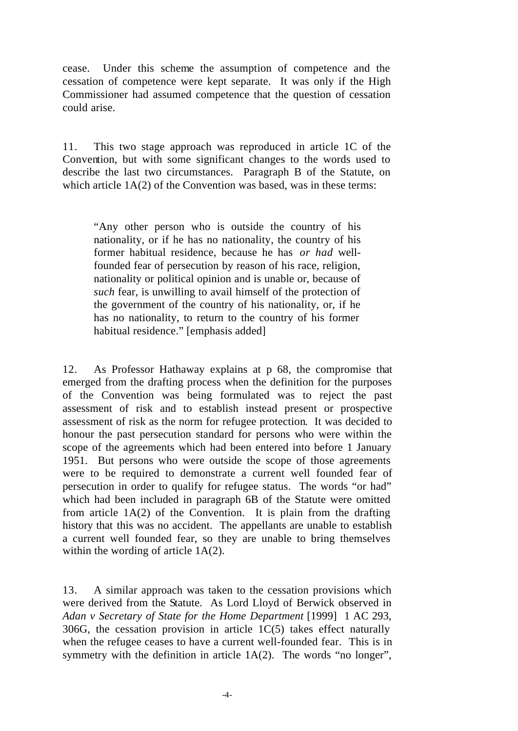cease. Under this scheme the assumption of competence and the cessation of competence were kept separate. It was only if the High Commissioner had assumed competence that the question of cessation could arise.

11. This two stage approach was reproduced in article 1C of the Convention, but with some significant changes to the words used to describe the last two circumstances. Paragraph B of the Statute, on which article  $1A(2)$  of the Convention was based, was in these terms:

"Any other person who is outside the country of his nationality, or if he has no nationality, the country of his former habitual residence, because he has *or had* wellfounded fear of persecution by reason of his race, religion, nationality or political opinion and is unable or, because of *such* fear, is unwilling to avail himself of the protection of the government of the country of his nationality, or, if he has no nationality, to return to the country of his former habitual residence." [emphasis added]

12. As Professor Hathaway explains at p 68, the compromise that emerged from the drafting process when the definition for the purposes of the Convention was being formulated was to reject the past assessment of risk and to establish instead present or prospective assessment of risk as the norm for refugee protection. It was decided to honour the past persecution standard for persons who were within the scope of the agreements which had been entered into before 1 January 1951. But persons who were outside the scope of those agreements were to be required to demonstrate a current well founded fear of persecution in order to qualify for refugee status. The words "or had" which had been included in paragraph 6B of the Statute were omitted from article 1A(2) of the Convention. It is plain from the drafting history that this was no accident. The appellants are unable to establish a current well founded fear, so they are unable to bring themselves within the wording of article 1A(2).

13. A similar approach was taken to the cessation provisions which were derived from the Statute. As Lord Lloyd of Berwick observed in *Adan v Secretary of State for the Home Department* [1999] 1 AC 293, 306G, the cessation provision in article 1C(5) takes effect naturally when the refugee ceases to have a current well-founded fear. This is in symmetry with the definition in article 1A(2). The words "no longer",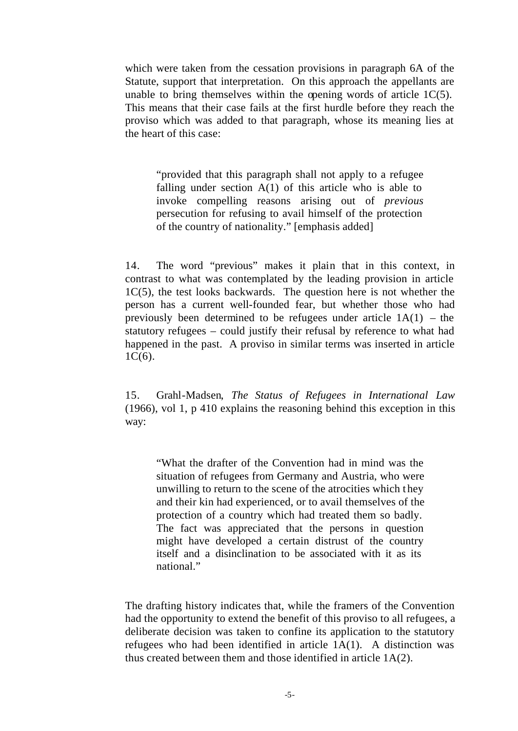which were taken from the cessation provisions in paragraph 6A of the Statute, support that interpretation. On this approach the appellants are unable to bring themselves within the opening words of article  $1C(5)$ . This means that their case fails at the first hurdle before they reach the proviso which was added to that paragraph, whose its meaning lies at the heart of this case:

"provided that this paragraph shall not apply to a refugee falling under section  $A(1)$  of this article who is able to invoke compelling reasons arising out of *previous*  persecution for refusing to avail himself of the protection of the country of nationality." [emphasis added]

14. The word "previous" makes it plain that in this context, in contrast to what was contemplated by the leading provision in article 1C(5), the test looks backwards. The question here is not whether the person has a current well-founded fear, but whether those who had previously been determined to be refugees under article  $1A(1)$  – the statutory refugees – could justify their refusal by reference to what had happened in the past. A proviso in similar terms was inserted in article  $1C(6)$ .

15. Grahl-Madsen, *The Status of Refugees in International Law* (1966), vol 1, p 410 explains the reasoning behind this exception in this way:

"What the drafter of the Convention had in mind was the situation of refugees from Germany and Austria, who were unwilling to return to the scene of the atrocities which t hey and their kin had experienced, or to avail themselves of the protection of a country which had treated them so badly. The fact was appreciated that the persons in question might have developed a certain distrust of the country itself and a disinclination to be associated with it as its national."

The drafting history indicates that, while the framers of the Convention had the opportunity to extend the benefit of this proviso to all refugees, a deliberate decision was taken to confine its application to the statutory refugees who had been identified in article 1A(1). A distinction was thus created between them and those identified in article 1A(2).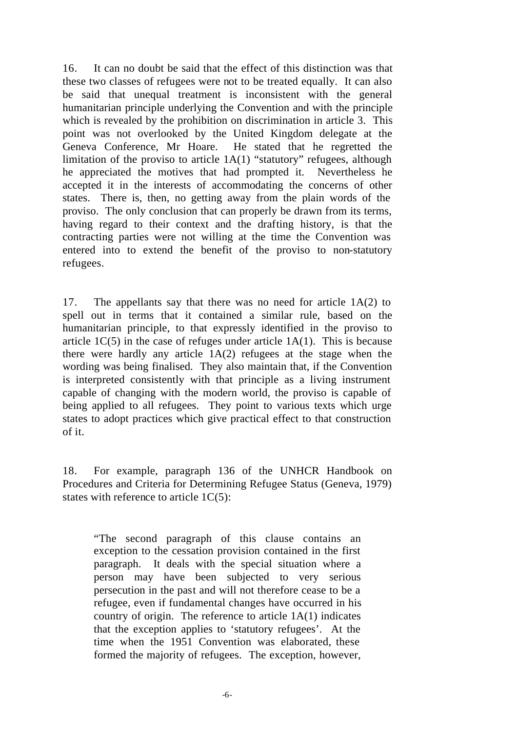16. It can no doubt be said that the effect of this distinction was that these two classes of refugees were not to be treated equally. It can also be said that unequal treatment is inconsistent with the general humanitarian principle underlying the Convention and with the principle which is revealed by the prohibition on discrimination in article 3. This point was not overlooked by the United Kingdom delegate at the Geneva Conference, Mr Hoare. He stated that he regretted the limitation of the proviso to article 1A(1) "statutory" refugees, although he appreciated the motives that had prompted it. Nevertheless he accepted it in the interests of accommodating the concerns of other states. There is, then, no getting away from the plain words of the proviso. The only conclusion that can properly be drawn from its terms, having regard to their context and the drafting history, is that the contracting parties were not willing at the time the Convention was entered into to extend the benefit of the proviso to non-statutory refugees.

17. The appellants say that there was no need for article 1A(2) to spell out in terms that it contained a similar rule, based on the humanitarian principle, to that expressly identified in the proviso to article  $1C(5)$  in the case of refuges under article  $1A(1)$ . This is because there were hardly any article 1A(2) refugees at the stage when the wording was being finalised. They also maintain that, if the Convention is interpreted consistently with that principle as a living instrument capable of changing with the modern world, the proviso is capable of being applied to all refugees. They point to various texts which urge states to adopt practices which give practical effect to that construction of it.

18. For example, paragraph 136 of the UNHCR Handbook on Procedures and Criteria for Determining Refugee Status (Geneva, 1979) states with reference to article 1C(5):

"The second paragraph of this clause contains an exception to the cessation provision contained in the first paragraph. It deals with the special situation where a person may have been subjected to very serious persecution in the past and will not therefore cease to be a refugee, even if fundamental changes have occurred in his country of origin. The reference to article 1A(1) indicates that the exception applies to 'statutory refugees'. At the time when the 1951 Convention was elaborated, these formed the majority of refugees. The exception, however,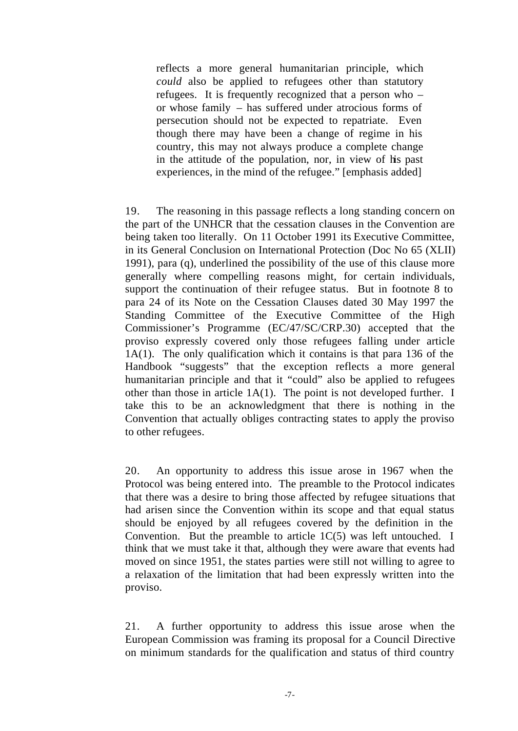reflects a more general humanitarian principle, which *could* also be applied to refugees other than statutory refugees. It is frequently recognized that a person who – or whose family – has suffered under atrocious forms of persecution should not be expected to repatriate. Even though there may have been a change of regime in his country, this may not always produce a complete change in the attitude of the population, nor, in view of his past experiences, in the mind of the refugee." [emphasis added]

19. The reasoning in this passage reflects a long standing concern on the part of the UNHCR that the cessation clauses in the Convention are being taken too literally. On 11 October 1991 its Executive Committee, in its General Conclusion on International Protection (Doc No 65 (XLII) 1991), para (q), underlined the possibility of the use of this clause more generally where compelling reasons might, for certain individuals, support the continuation of their refugee status. But in footnote 8 to para 24 of its Note on the Cessation Clauses dated 30 May 1997 the Standing Committee of the Executive Committee of the High Commissioner's Programme (EC/47/SC/CRP.30) accepted that the proviso expressly covered only those refugees falling under article 1A(1). The only qualification which it contains is that para 136 of the Handbook "suggests" that the exception reflects a more general humanitarian principle and that it "could" also be applied to refugees other than those in article 1A(1). The point is not developed further. I take this to be an acknowledgment that there is nothing in the Convention that actually obliges contracting states to apply the proviso to other refugees.

20. An opportunity to address this issue arose in 1967 when the Protocol was being entered into. The preamble to the Protocol indicates that there was a desire to bring those affected by refugee situations that had arisen since the Convention within its scope and that equal status should be enjoyed by all refugees covered by the definition in the Convention. But the preamble to article  $1C(5)$  was left untouched. I think that we must take it that, although they were aware that events had moved on since 1951, the states parties were still not willing to agree to a relaxation of the limitation that had been expressly written into the proviso.

21. A further opportunity to address this issue arose when the European Commission was framing its proposal for a Council Directive on minimum standards for the qualification and status of third country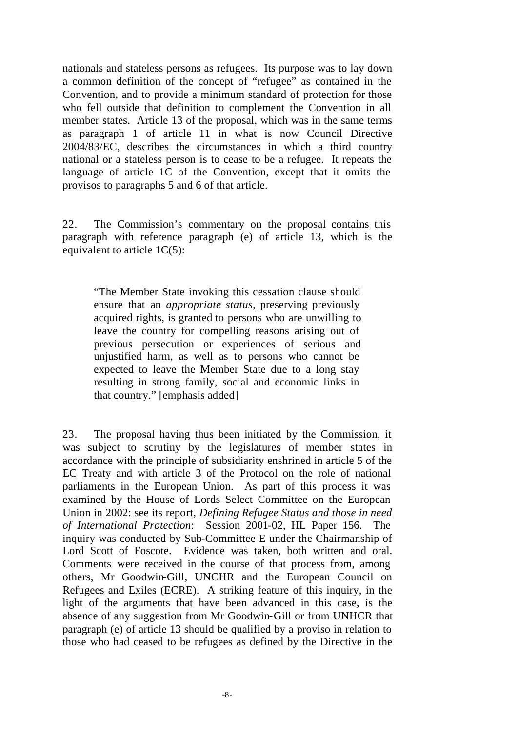nationals and stateless persons as refugees. Its purpose was to lay down a common definition of the concept of "refugee" as contained in the Convention, and to provide a minimum standard of protection for those who fell outside that definition to complement the Convention in all member states. Article 13 of the proposal, which was in the same terms as paragraph 1 of article 11 in what is now Council Directive 2004/83/EC, describes the circumstances in which a third country national or a stateless person is to cease to be a refugee. It repeats the language of article 1C of the Convention, except that it omits the provisos to paragraphs 5 and 6 of that article.

22. The Commission's commentary on the proposal contains this paragraph with reference paragraph (e) of article 13, which is the equivalent to article 1C(5):

"The Member State invoking this cessation clause should ensure that an *appropriate status*, preserving previously acquired rights, is granted to persons who are unwilling to leave the country for compelling reasons arising out of previous persecution or experiences of serious and unjustified harm, as well as to persons who cannot be expected to leave the Member State due to a long stay resulting in strong family, social and economic links in that country." [emphasis added]

23. The proposal having thus been initiated by the Commission, it was subject to scrutiny by the legislatures of member states in accordance with the principle of subsidiarity enshrined in article 5 of the EC Treaty and with article 3 of the Protocol on the role of national parliaments in the European Union. As part of this process it was examined by the House of Lords Select Committee on the European Union in 2002: see its report, *Defining Refugee Status and those in need of International Protection*: Session 2001-02, HL Paper 156. The inquiry was conducted by Sub-Committee E under the Chairmanship of Lord Scott of Foscote. Evidence was taken, both written and oral. Comments were received in the course of that process from, among others, Mr Goodwin-Gill, UNCHR and the European Council on Refugees and Exiles (ECRE). A striking feature of this inquiry, in the light of the arguments that have been advanced in this case, is the absence of any suggestion from Mr Goodwin-Gill or from UNHCR that paragraph (e) of article 13 should be qualified by a proviso in relation to those who had ceased to be refugees as defined by the Directive in the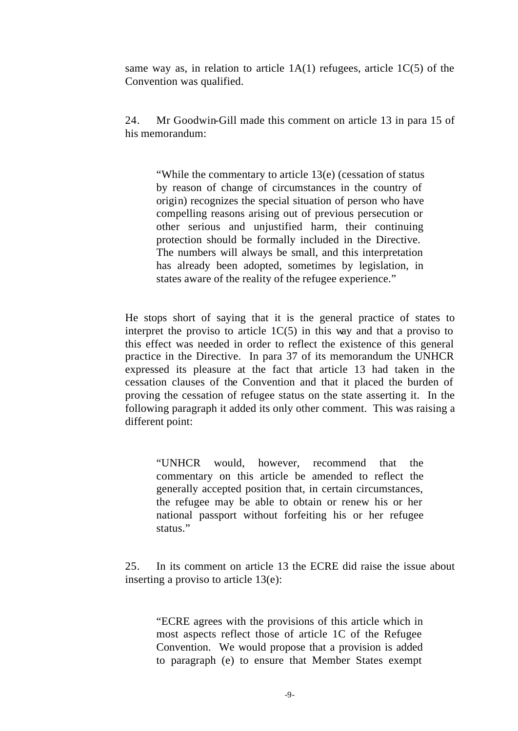same way as, in relation to article  $1A(1)$  refugees, article  $1C(5)$  of the Convention was qualified.

24. Mr Goodwin-Gill made this comment on article 13 in para 15 of his memorandum:

"While the commentary to article 13(e) (cessation of status by reason of change of circumstances in the country of origin) recognizes the special situation of person who have compelling reasons arising out of previous persecution or other serious and unjustified harm, their continuing protection should be formally included in the Directive. The numbers will always be small, and this interpretation has already been adopted, sometimes by legislation, in states aware of the reality of the refugee experience."

He stops short of saying that it is the general practice of states to interpret the proviso to article  $1C(5)$  in this way and that a proviso to this effect was needed in order to reflect the existence of this general practice in the Directive. In para 37 of its memorandum the UNHCR expressed its pleasure at the fact that article 13 had taken in the cessation clauses of the Convention and that it placed the burden of proving the cessation of refugee status on the state asserting it. In the following paragraph it added its only other comment. This was raising a different point:

"UNHCR would, however, recommend that the commentary on this article be amended to reflect the generally accepted position that, in certain circumstances, the refugee may be able to obtain or renew his or her national passport without forfeiting his or her refugee status."

25. In its comment on article 13 the ECRE did raise the issue about inserting a proviso to article 13(e):

"ECRE agrees with the provisions of this article which in most aspects reflect those of article 1C of the Refugee Convention. We would propose that a provision is added to paragraph (e) to ensure that Member States exempt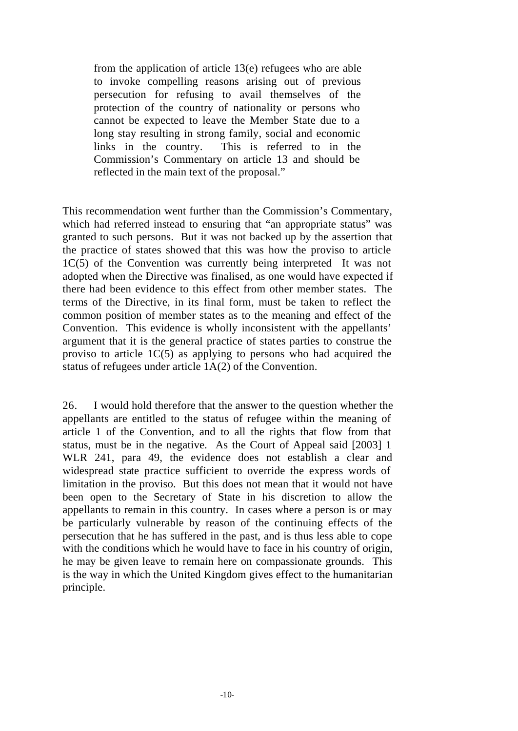from the application of article 13(e) refugees who are able to invoke compelling reasons arising out of previous persecution for refusing to avail themselves of the protection of the country of nationality or persons who cannot be expected to leave the Member State due to a long stay resulting in strong family, social and economic links in the country. This is referred to in the Commission's Commentary on article 13 and should be reflected in the main text of the proposal."

This recommendation went further than the Commission's Commentary, which had referred instead to ensuring that "an appropriate status" was granted to such persons. But it was not backed up by the assertion that the practice of states showed that this was how the proviso to article 1C(5) of the Convention was currently being interpreted It was not adopted when the Directive was finalised, as one would have expected if there had been evidence to this effect from other member states. The terms of the Directive, in its final form, must be taken to reflect the common position of member states as to the meaning and effect of the Convention. This evidence is wholly inconsistent with the appellants' argument that it is the general practice of states parties to construe the proviso to article  $1C(5)$  as applying to persons who had acquired the status of refugees under article 1A(2) of the Convention.

26. I would hold therefore that the answer to the question whether the appellants are entitled to the status of refugee within the meaning of article 1 of the Convention, and to all the rights that flow from that status, must be in the negative. As the Court of Appeal said [2003] 1 WLR 241, para 49, the evidence does not establish a clear and widespread state practice sufficient to override the express words of limitation in the proviso. But this does not mean that it would not have been open to the Secretary of State in his discretion to allow the appellants to remain in this country. In cases where a person is or may be particularly vulnerable by reason of the continuing effects of the persecution that he has suffered in the past, and is thus less able to cope with the conditions which he would have to face in his country of origin, he may be given leave to remain here on compassionate grounds. This is the way in which the United Kingdom gives effect to the humanitarian principle.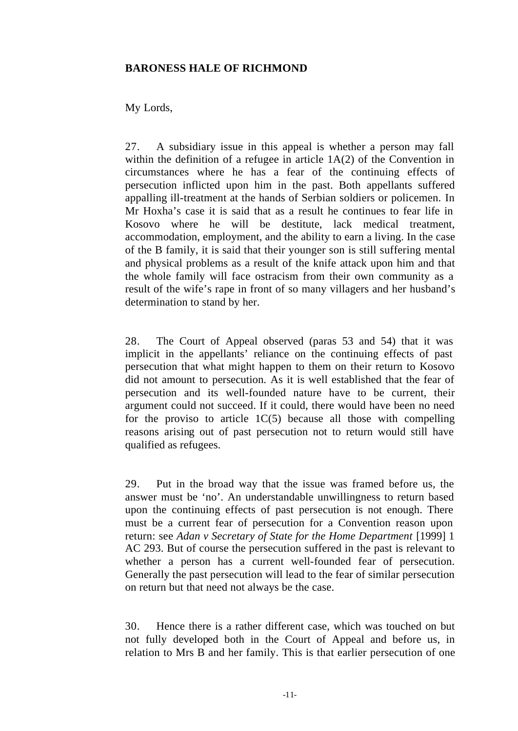# **BARONESS HALE OF RICHMOND**

# My Lords,

27. A subsidiary issue in this appeal is whether a person may fall within the definition of a refugee in article 1A(2) of the Convention in circumstances where he has a fear of the continuing effects of persecution inflicted upon him in the past. Both appellants suffered appalling ill-treatment at the hands of Serbian soldiers or policemen. In Mr Hoxha's case it is said that as a result he continues to fear life in Kosovo where he will be destitute, lack medical treatment, accommodation, employment, and the ability to earn a living. In the case of the B family, it is said that their younger son is still suffering mental and physical problems as a result of the knife attack upon him and that the whole family will face ostracism from their own community as a result of the wife's rape in front of so many villagers and her husband's determination to stand by her.

28. The Court of Appeal observed (paras 53 and 54) that it was implicit in the appellants' reliance on the continuing effects of past persecution that what might happen to them on their return to Kosovo did not amount to persecution. As it is well established that the fear of persecution and its well-founded nature have to be current, their argument could not succeed. If it could, there would have been no need for the proviso to article  $1C(5)$  because all those with compelling reasons arising out of past persecution not to return would still have qualified as refugees.

29. Put in the broad way that the issue was framed before us, the answer must be 'no'. An understandable unwillingness to return based upon the continuing effects of past persecution is not enough. There must be a current fear of persecution for a Convention reason upon return: see *Adan v Secretary of State for the Home Department* [1999] 1 AC 293. But of course the persecution suffered in the past is relevant to whether a person has a current well-founded fear of persecution. Generally the past persecution will lead to the fear of similar persecution on return but that need not always be the case.

30. Hence there is a rather different case, which was touched on but not fully developed both in the Court of Appeal and before us, in relation to Mrs B and her family. This is that earlier persecution of one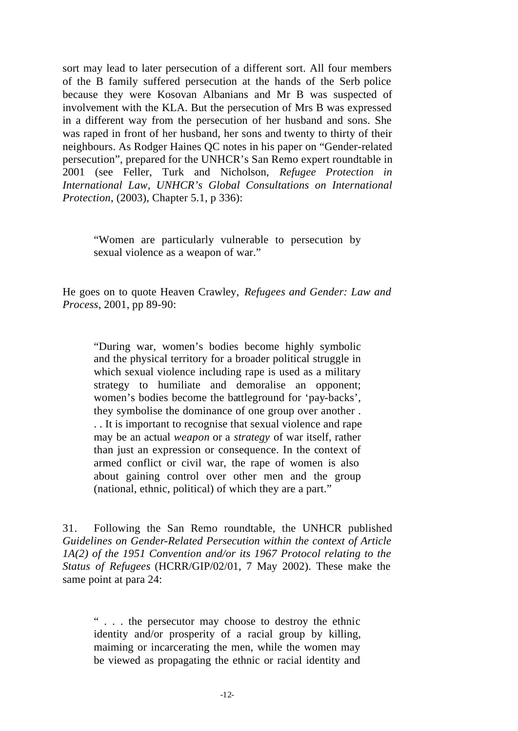sort may lead to later persecution of a different sort. All four members of the B family suffered persecution at the hands of the Serb police because they were Kosovan Albanians and Mr B was suspected of involvement with the KLA. But the persecution of Mrs B was expressed in a different way from the persecution of her husband and sons. She was raped in front of her husband, her sons and twenty to thirty of their neighbours. As Rodger Haines QC notes in his paper on "Gender-related persecution", prepared for the UNHCR's San Remo expert roundtable in 2001 (see Feller, Turk and Nicholson, *Refugee Protection in International Law, UNHCR's Global Consultations on International Protection*, (2003), Chapter 5.1, p 336):

"Women are particularly vulnerable to persecution by sexual violence as a weapon of war."

He goes on to quote Heaven Crawley, *Refugees and Gender: Law and Process*, 2001, pp 89-90:

"During war, women's bodies become highly symbolic and the physical territory for a broader political struggle in which sexual violence including rape is used as a military strategy to humiliate and demoralise an opponent; women's bodies become the battleground for 'pay-backs', they symbolise the dominance of one group over another . . . It is important to recognise that sexual violence and rape may be an actual *weapon* or a *strategy* of war itself, rather than just an expression or consequence. In the context of armed conflict or civil war, the rape of women is also about gaining control over other men and the group (national, ethnic, political) of which they are a part."

31. Following the San Remo roundtable, the UNHCR published *Guidelines on Gender-Related Persecution within the context of Article 1A(2) of the 1951 Convention and/or its 1967 Protocol relating to the Status of Refugees* (HCRR/GIP/02/01, 7 May 2002). These make the same point at para 24:

" . . . the persecutor may choose to destroy the ethnic identity and/or prosperity of a racial group by killing, maiming or incarcerating the men, while the women may be viewed as propagating the ethnic or racial identity and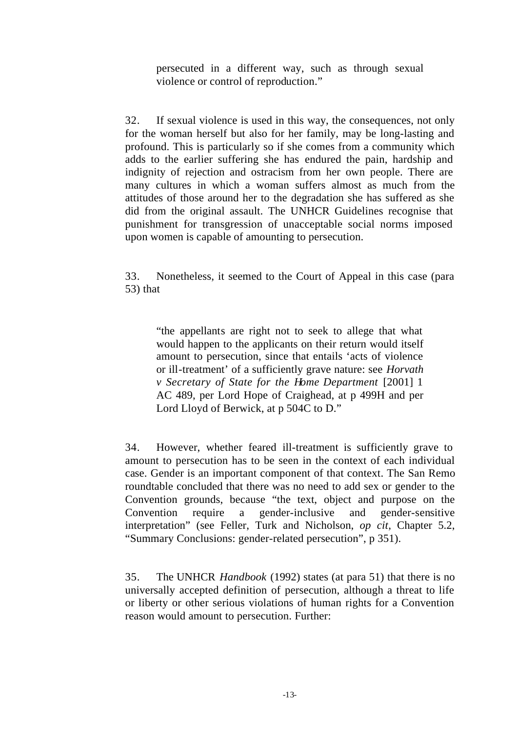persecuted in a different way, such as through sexual violence or control of reproduction."

32. If sexual violence is used in this way, the consequences, not only for the woman herself but also for her family, may be long-lasting and profound. This is particularly so if she comes from a community which adds to the earlier suffering she has endured the pain, hardship and indignity of rejection and ostracism from her own people. There are many cultures in which a woman suffers almost as much from the attitudes of those around her to the degradation she has suffered as she did from the original assault. The UNHCR Guidelines recognise that punishment for transgression of unacceptable social norms imposed upon women is capable of amounting to persecution.

33. Nonetheless, it seemed to the Court of Appeal in this case (para 53) that

"the appellants are right not to seek to allege that what would happen to the applicants on their return would itself amount to persecution, since that entails 'acts of violence or ill-treatment' of a sufficiently grave nature: see *Horvath v Secretary of State for the Home Department* [2001] 1 AC 489, per Lord Hope of Craighead, at p 499H and per Lord Lloyd of Berwick, at p 504C to D."

34. However, whether feared ill-treatment is sufficiently grave to amount to persecution has to be seen in the context of each individual case. Gender is an important component of that context. The San Remo roundtable concluded that there was no need to add sex or gender to the Convention grounds, because "the text, object and purpose on the Convention require a gender-inclusive and gender-sensitive interpretation" (see Feller, Turk and Nicholson, *op cit*, Chapter 5.2, "Summary Conclusions: gender-related persecution", p 351).

35. The UNHCR *Handbook* (1992) states (at para 51) that there is no universally accepted definition of persecution, although a threat to life or liberty or other serious violations of human rights for a Convention reason would amount to persecution. Further: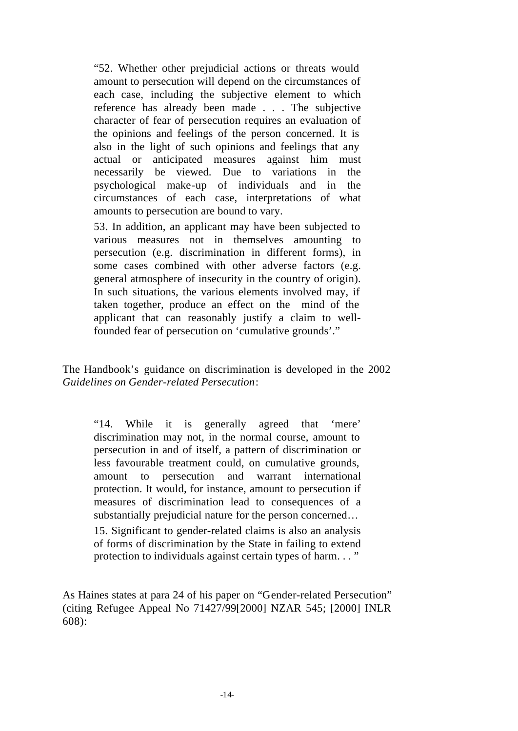"52. Whether other prejudicial actions or threats would amount to persecution will depend on the circumstances of each case, including the subjective element to which reference has already been made . . . The subjective character of fear of persecution requires an evaluation of the opinions and feelings of the person concerned. It is also in the light of such opinions and feelings that any actual or anticipated measures against him must necessarily be viewed. Due to variations in the psychological make-up of individuals and in the circumstances of each case, interpretations of what amounts to persecution are bound to vary.

53. In addition, an applicant may have been subjected to various measures not in themselves amounting to persecution (e.g. discrimination in different forms), in some cases combined with other adverse factors (e.g. general atmosphere of insecurity in the country of origin). In such situations, the various elements involved may, if taken together, produce an effect on the mind of the applicant that can reasonably justify a claim to wellfounded fear of persecution on 'cumulative grounds'."

The Handbook's guidance on discrimination is developed in the 2002 *Guidelines on Gender-related Persecution*:

"14. While it is generally agreed that 'mere' discrimination may not, in the normal course, amount to persecution in and of itself, a pattern of discrimination or less favourable treatment could, on cumulative grounds, amount to persecution and warrant international protection. It would, for instance, amount to persecution if measures of discrimination lead to consequences of a substantially prejudicial nature for the person concerned… 15. Significant to gender-related claims is also an analysis of forms of discrimination by the State in failing to extend

protection to individuals against certain types of harm. . . "

As Haines states at para 24 of his paper on "Gender-related Persecution" (citing Refugee Appeal No 71427/99[2000] NZAR 545; [2000] INLR 608):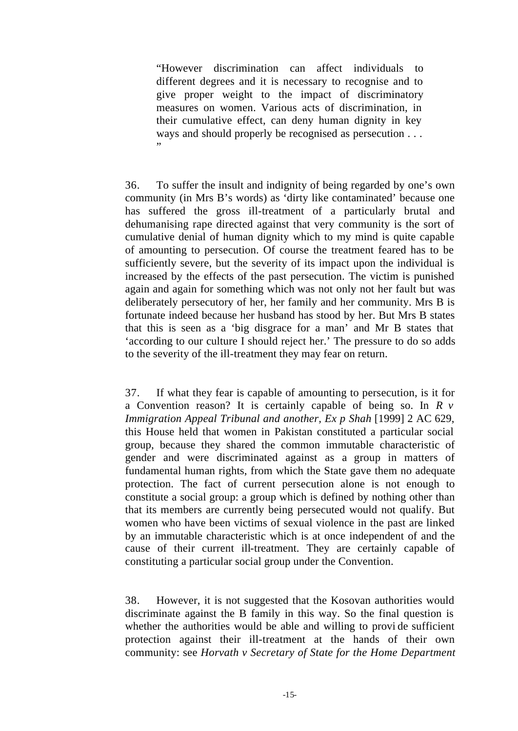"However discrimination can affect individuals to different degrees and it is necessary to recognise and to give proper weight to the impact of discriminatory measures on women. Various acts of discrimination, in their cumulative effect, can deny human dignity in key ways and should properly be recognised as persecution . . . "

36. To suffer the insult and indignity of being regarded by one's own community (in Mrs B's words) as 'dirty like contaminated' because one has suffered the gross ill-treatment of a particularly brutal and dehumanising rape directed against that very community is the sort of cumulative denial of human dignity which to my mind is quite capable of amounting to persecution. Of course the treatment feared has to be sufficiently severe, but the severity of its impact upon the individual is increased by the effects of the past persecution. The victim is punished again and again for something which was not only not her fault but was deliberately persecutory of her, her family and her community. Mrs B is fortunate indeed because her husband has stood by her. But Mrs B states that this is seen as a 'big disgrace for a man' and Mr B states that 'according to our culture I should reject her.' The pressure to do so adds to the severity of the ill-treatment they may fear on return.

37. If what they fear is capable of amounting to persecution, is it for a Convention reason? It is certainly capable of being so. In *R v Immigration Appeal Tribunal and another, Ex p Shah* [1999] 2 AC 629, this House held that women in Pakistan constituted a particular social group, because they shared the common immutable characteristic of gender and were discriminated against as a group in matters of fundamental human rights, from which the State gave them no adequate protection. The fact of current persecution alone is not enough to constitute a social group: a group which is defined by nothing other than that its members are currently being persecuted would not qualify. But women who have been victims of sexual violence in the past are linked by an immutable characteristic which is at once independent of and the cause of their current ill-treatment. They are certainly capable of constituting a particular social group under the Convention.

38. However, it is not suggested that the Kosovan authorities would discriminate against the B family in this way. So the final question is whether the authorities would be able and willing to provide sufficient protection against their ill-treatment at the hands of their own community: see *Horvath v Secretary of State for the Home Department*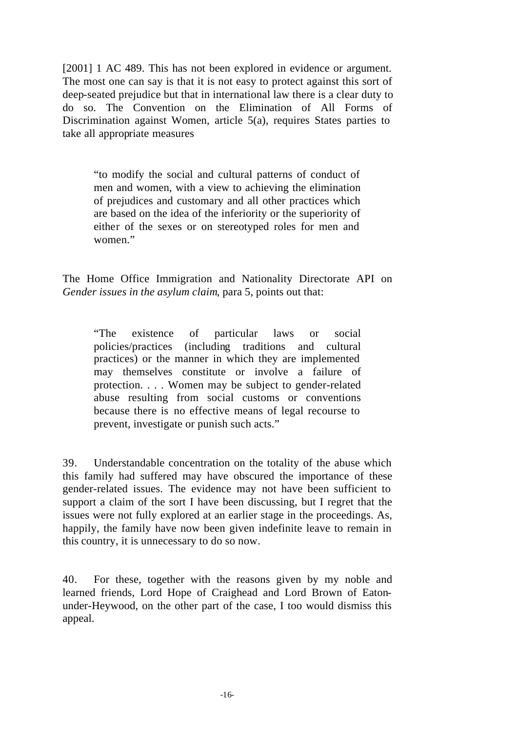[2001] 1 AC 489. This has not been explored in evidence or argument. The most one can say is that it is not easy to protect against this sort of deep-seated prejudice but that in international law there is a clear duty to do so. The Convention on the Elimination of All Forms of Discrimination against Women, article 5(a), requires States parties to take all appropriate measures

"to modify the social and cultural patterns of conduct of men and women, with a view to achieving the elimination of prejudices and customary and all other practices which are based on the idea of the inferiority or the superiority of either of the sexes or on stereotyped roles for men and women."

The Home Office Immigration and Nationality Directorate API on *Gender issues in the asylum claim*, para 5, points out that:

"The existence of particular laws or social policies/practices (including traditions and cultural practices) or the manner in which they are implemented may themselves constitute or involve a failure of protection. . . . Women may be subject to gender-related abuse resulting from social customs or conventions because there is no effective means of legal recourse to prevent, investigate or punish such acts."

39. Understandable concentration on the totality of the abuse which this family had suffered may have obscured the importance of these gender-related issues. The evidence may not have been sufficient to support a claim of the sort I have been discussing, but I regret that the issues were not fully explored at an earlier stage in the proceedings. As, happily, the family have now been given indefinite leave to remain in this country, it is unnecessary to do so now.

40. For these, together with the reasons given by my noble and learned friends, Lord Hope of Craighead and Lord Brown of Eatonunder-Heywood, on the other part of the case, I too would dismiss this appeal.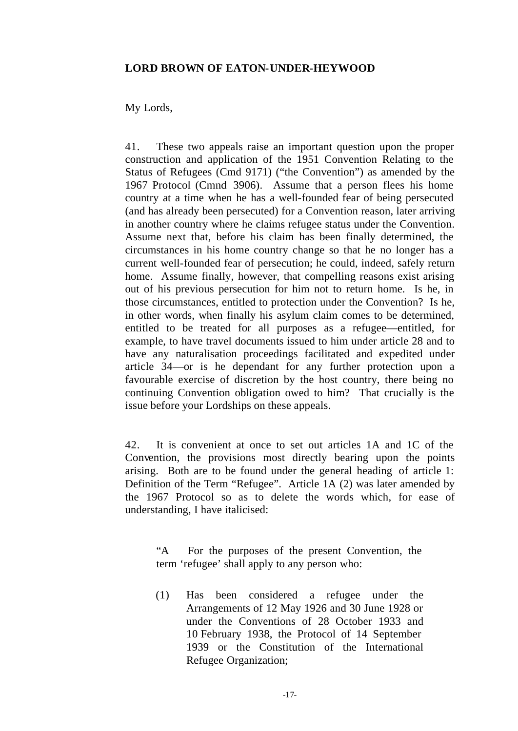## **LORD BROWN OF EATON-UNDER-HEYWOOD**

# My Lords,

41. These two appeals raise an important question upon the proper construction and application of the 1951 Convention Relating to the Status of Refugees (Cmd 9171) ("the Convention") as amended by the 1967 Protocol (Cmnd 3906). Assume that a person flees his home country at a time when he has a well-founded fear of being persecuted (and has already been persecuted) for a Convention reason, later arriving in another country where he claims refugee status under the Convention. Assume next that, before his claim has been finally determined, the circumstances in his home country change so that he no longer has a current well-founded fear of persecution; he could, indeed, safely return home. Assume finally, however, that compelling reasons exist arising out of his previous persecution for him not to return home. Is he, in those circumstances, entitled to protection under the Convention? Is he, in other words, when finally his asylum claim comes to be determined, entitled to be treated for all purposes as a refugee—entitled, for example, to have travel documents issued to him under article 28 and to have any naturalisation proceedings facilitated and expedited under article 34—or is he dependant for any further protection upon a favourable exercise of discretion by the host country, there being no continuing Convention obligation owed to him? That crucially is the issue before your Lordships on these appeals.

42. It is convenient at once to set out articles 1A and 1C of the Convention, the provisions most directly bearing upon the points arising. Both are to be found under the general heading of article 1: Definition of the Term "Refugee". Article 1A (2) was later amended by the 1967 Protocol so as to delete the words which, for ease of understanding, I have italicised:

"A For the purposes of the present Convention, the term 'refugee' shall apply to any person who:

(1) Has been considered a refugee under the Arrangements of 12 May 1926 and 30 June 1928 or under the Conventions of 28 October 1933 and 10 February 1938, the Protocol of 14 September 1939 or the Constitution of the International Refugee Organization;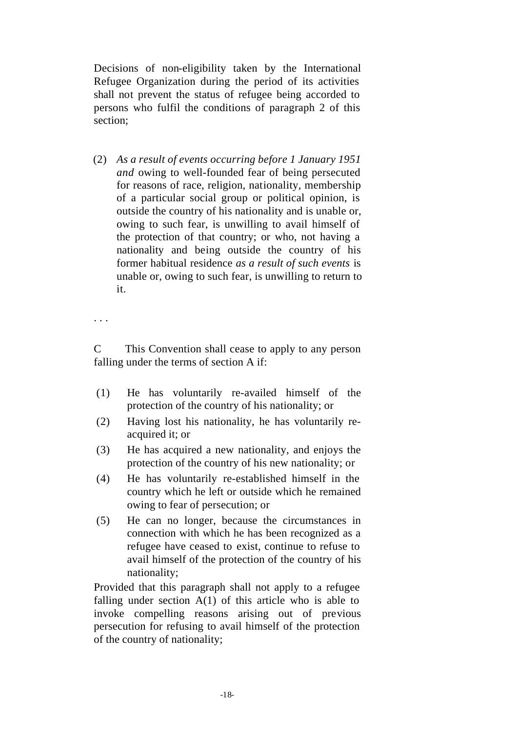Decisions of non-eligibility taken by the International Refugee Organization during the period of its activities shall not prevent the status of refugee being accorded to persons who fulfil the conditions of paragraph 2 of this section;

(2) *As a result of events occurring before 1 January 1951 and* owing to well-founded fear of being persecuted for reasons of race, religion, nationality, membership of a particular social group or political opinion, is outside the country of his nationality and is unable or, owing to such fear, is unwilling to avail himself of the protection of that country; or who, not having a nationality and being outside the country of his former habitual residence *as a result of such events* is unable or, owing to such fear, is unwilling to return to it.

. . .

C This Convention shall cease to apply to any person falling under the terms of section A if:

- (1) He has voluntarily re-availed himself of the protection of the country of his nationality; or
- (2) Having lost his nationality, he has voluntarily reacquired it; or
- (3) He has acquired a new nationality, and enjoys the protection of the country of his new nationality; or
- (4) He has voluntarily re-established himself in the country which he left or outside which he remained owing to fear of persecution; or
- (5) He can no longer, because the circumstances in connection with which he has been recognized as a refugee have ceased to exist, continue to refuse to avail himself of the protection of the country of his nationality;

Provided that this paragraph shall not apply to a refugee falling under section  $A(1)$  of this article who is able to invoke compelling reasons arising out of previous persecution for refusing to avail himself of the protection of the country of nationality;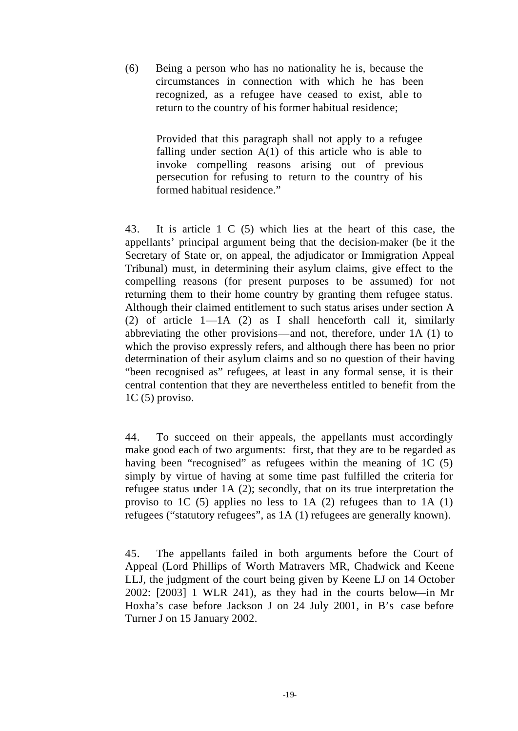(6) Being a person who has no nationality he is, because the circumstances in connection with which he has been recognized, as a refugee have ceased to exist, able to return to the country of his former habitual residence;

> Provided that this paragraph shall not apply to a refugee falling under section  $A(1)$  of this article who is able to invoke compelling reasons arising out of previous persecution for refusing to return to the country of his formed habitual residence."

43. It is article 1 C (5) which lies at the heart of this case, the appellants' principal argument being that the decision-maker (be it the Secretary of State or, on appeal, the adjudicator or Immigration Appeal Tribunal) must, in determining their asylum claims, give effect to the compelling reasons (for present purposes to be assumed) for not returning them to their home country by granting them refugee status. Although their claimed entitlement to such status arises under section A (2) of article 1—1A (2) as I shall henceforth call it, similarly abbreviating the other provisions—and not, therefore, under 1A (1) to which the proviso expressly refers, and although there has been no prior determination of their asylum claims and so no question of their having "been recognised as" refugees, at least in any formal sense, it is their central contention that they are nevertheless entitled to benefit from the 1C (5) proviso.

44. To succeed on their appeals, the appellants must accordingly make good each of two arguments: first, that they are to be regarded as having been "recognised" as refugees within the meaning of 1C (5) simply by virtue of having at some time past fulfilled the criteria for refugee status under 1A (2); secondly, that on its true interpretation the proviso to 1C  $(5)$  applies no less to 1A  $(2)$  refugees than to 1A  $(1)$ refugees ("statutory refugees", as 1A (1) refugees are generally known).

45. The appellants failed in both arguments before the Court of Appeal (Lord Phillips of Worth Matravers MR, Chadwick and Keene LLJ, the judgment of the court being given by Keene LJ on 14 October 2002: [2003] 1 WLR 241), as they had in the courts below—in Mr Hoxha's case before Jackson J on 24 July 2001, in B's case before Turner J on 15 January 2002.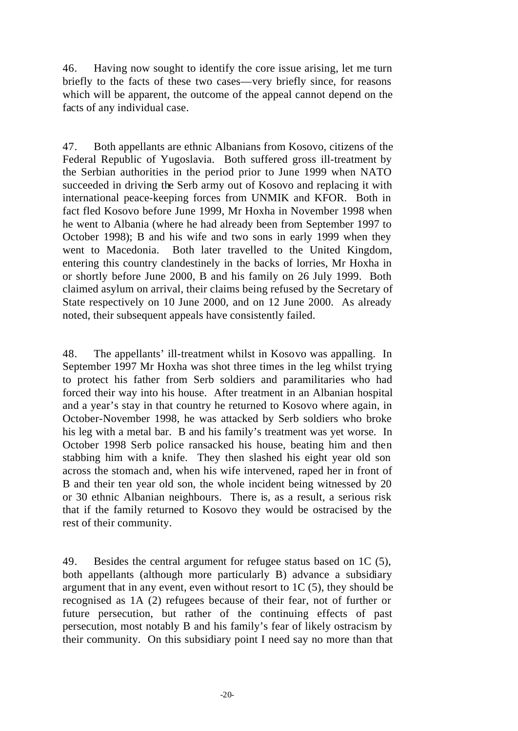46. Having now sought to identify the core issue arising, let me turn briefly to the facts of these two cases—very briefly since, for reasons which will be apparent, the outcome of the appeal cannot depend on the facts of any individual case.

47. Both appellants are ethnic Albanians from Kosovo, citizens of the Federal Republic of Yugoslavia. Both suffered gross ill-treatment by the Serbian authorities in the period prior to June 1999 when NATO succeeded in driving the Serb army out of Kosovo and replacing it with international peace-keeping forces from UNMIK and KFOR. Both in fact fled Kosovo before June 1999, Mr Hoxha in November 1998 when he went to Albania (where he had already been from September 1997 to October 1998); B and his wife and two sons in early 1999 when they went to Macedonia. Both later travelled to the United Kingdom, entering this country clandestinely in the backs of lorries, Mr Hoxha in or shortly before June 2000, B and his family on 26 July 1999. Both claimed asylum on arrival, their claims being refused by the Secretary of State respectively on 10 June 2000, and on 12 June 2000. As already noted, their subsequent appeals have consistently failed.

48. The appellants' ill-treatment whilst in Kosovo was appalling. In September 1997 Mr Hoxha was shot three times in the leg whilst trying to protect his father from Serb soldiers and paramilitaries who had forced their way into his house. After treatment in an Albanian hospital and a year's stay in that country he returned to Kosovo where again, in October-November 1998, he was attacked by Serb soldiers who broke his leg with a metal bar. B and his family's treatment was yet worse. In October 1998 Serb police ransacked his house, beating him and then stabbing him with a knife. They then slashed his eight year old son across the stomach and, when his wife intervened, raped her in front of B and their ten year old son, the whole incident being witnessed by 20 or 30 ethnic Albanian neighbours. There is, as a result, a serious risk that if the family returned to Kosovo they would be ostracised by the rest of their community.

49. Besides the central argument for refugee status based on 1C (5), both appellants (although more particularly B) advance a subsidiary argument that in any event, even without resort to 1C (5), they should be recognised as 1A (2) refugees because of their fear, not of further or future persecution, but rather of the continuing effects of past persecution, most notably B and his family's fear of likely ostracism by their community. On this subsidiary point I need say no more than that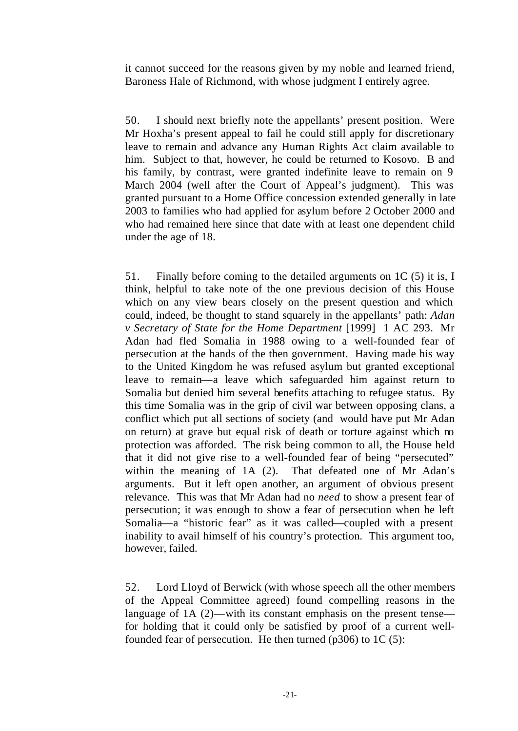it cannot succeed for the reasons given by my noble and learned friend, Baroness Hale of Richmond, with whose judgment I entirely agree.

50. I should next briefly note the appellants' present position. Were Mr Hoxha's present appeal to fail he could still apply for discretionary leave to remain and advance any Human Rights Act claim available to him. Subject to that, however, he could be returned to Kosovo. B and his family, by contrast, were granted indefinite leave to remain on 9 March 2004 (well after the Court of Appeal's judgment). This was granted pursuant to a Home Office concession extended generally in late 2003 to families who had applied for asylum before 2 October 2000 and who had remained here since that date with at least one dependent child under the age of 18.

51. Finally before coming to the detailed arguments on 1C (5) it is, I think, helpful to take note of the one previous decision of this House which on any view bears closely on the present question and which could, indeed, be thought to stand squarely in the appellants' path: *Adan v Secretary of State for the Home Department* [1999] 1 AC 293. Mr Adan had fled Somalia in 1988 owing to a well-founded fear of persecution at the hands of the then government. Having made his way to the United Kingdom he was refused asylum but granted exceptional leave to remain—a leave which safeguarded him against return to Somalia but denied him several benefits attaching to refugee status. By this time Somalia was in the grip of civil war between opposing clans, a conflict which put all sections of society (and would have put Mr Adan on return) at grave but equal risk of death or torture against which no protection was afforded. The risk being common to all, the House held that it did not give rise to a well-founded fear of being "persecuted" within the meaning of 1A (2). That defeated one of Mr Adan's arguments. But it left open another, an argument of obvious present relevance. This was that Mr Adan had no *need* to show a present fear of persecution; it was enough to show a fear of persecution when he left Somalia—a "historic fear" as it was called—coupled with a present inability to avail himself of his country's protection. This argument too, however, failed.

52. Lord Lloyd of Berwick (with whose speech all the other members of the Appeal Committee agreed) found compelling reasons in the language of 1A (2)—with its constant emphasis on the present tense for holding that it could only be satisfied by proof of a current wellfounded fear of persecution. He then turned  $(p306)$  to 1C  $(5)$ :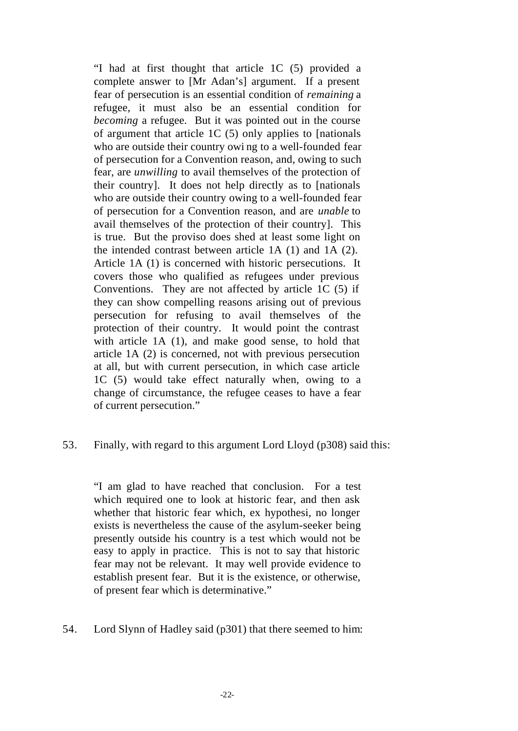"I had at first thought that article 1C (5) provided a complete answer to [Mr Adan's] argument. If a present fear of persecution is an essential condition of *remaining* a refugee, it must also be an essential condition for *becoming* a refugee. But it was pointed out in the course of argument that article 1C (5) only applies to [nationals who are outside their country owi ng to a well-founded fear of persecution for a Convention reason, and, owing to such fear, are *unwilling* to avail themselves of the protection of their country]. It does not help directly as to [nationals who are outside their country owing to a well-founded fear of persecution for a Convention reason, and are *unable* to avail themselves of the protection of their country]. This is true. But the proviso does shed at least some light on the intended contrast between article 1A (1) and 1A (2). Article 1A (1) is concerned with historic persecutions. It covers those who qualified as refugees under previous Conventions. They are not affected by article 1C (5) if they can show compelling reasons arising out of previous persecution for refusing to avail themselves of the protection of their country. It would point the contrast with article 1A (1), and make good sense, to hold that article 1A (2) is concerned, not with previous persecution at all, but with current persecution, in which case article 1C (5) would take effect naturally when, owing to a change of circumstance, the refugee ceases to have a fear of current persecution."

# 53. Finally, with regard to this argument Lord Lloyd (p308) said this:

"I am glad to have reached that conclusion. For a test which required one to look at historic fear, and then ask whether that historic fear which, ex hypothesi, no longer exists is nevertheless the cause of the asylum-seeker being presently outside his country is a test which would not be easy to apply in practice. This is not to say that historic fear may not be relevant. It may well provide evidence to establish present fear. But it is the existence, or otherwise, of present fear which is determinative."

54. Lord Slynn of Hadley said (p301) that there seemed to him: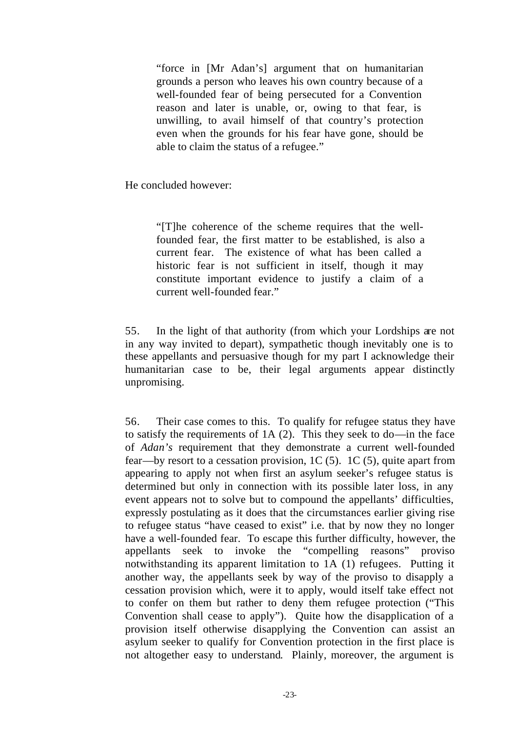"force in [Mr Adan's] argument that on humanitarian grounds a person who leaves his own country because of a well-founded fear of being persecuted for a Convention reason and later is unable, or, owing to that fear, is unwilling, to avail himself of that country's protection even when the grounds for his fear have gone, should be able to claim the status of a refugee."

He concluded however:

"[T]he coherence of the scheme requires that the wellfounded fear, the first matter to be established, is also a current fear. The existence of what has been called a historic fear is not sufficient in itself, though it may constitute important evidence to justify a claim of a current well-founded fear."

55. In the light of that authority (from which your Lordships are not in any way invited to depart), sympathetic though inevitably one is to these appellants and persuasive though for my part I acknowledge their humanitarian case to be, their legal arguments appear distinctly unpromising.

56. Their case comes to this. To qualify for refugee status they have to satisfy the requirements of 1A (2). This they seek to do—in the face of *Adan's* requirement that they demonstrate a current well-founded fear—by resort to a cessation provision, 1C (5). 1C (5), quite apart from appearing to apply not when first an asylum seeker's refugee status is determined but only in connection with its possible later loss, in any event appears not to solve but to compound the appellants' difficulties, expressly postulating as it does that the circumstances earlier giving rise to refugee status "have ceased to exist" i.e. that by now they no longer have a well-founded fear. To escape this further difficulty, however, the appellants seek to invoke the "compelling reasons" proviso notwithstanding its apparent limitation to 1A (1) refugees. Putting it another way, the appellants seek by way of the proviso to disapply a cessation provision which, were it to apply, would itself take effect not to confer on them but rather to deny them refugee protection ("This Convention shall cease to apply"). Quite how the disapplication of a provision itself otherwise disapplying the Convention can assist an asylum seeker to qualify for Convention protection in the first place is not altogether easy to understand. Plainly, moreover, the argument is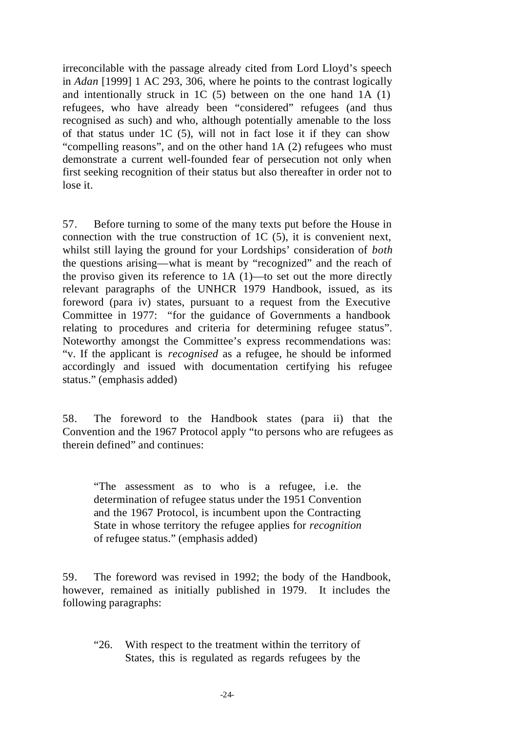irreconcilable with the passage already cited from Lord Lloyd's speech in *Adan* [1999] 1 AC 293, 306, where he points to the contrast logically and intentionally struck in 1C (5) between on the one hand 1A (1) refugees, who have already been "considered" refugees (and thus recognised as such) and who, although potentially amenable to the loss of that status under 1C (5), will not in fact lose it if they can show "compelling reasons", and on the other hand 1A (2) refugees who must demonstrate a current well-founded fear of persecution not only when first seeking recognition of their status but also thereafter in order not to lose it.

57. Before turning to some of the many texts put before the House in connection with the true construction of 1C (5), it is convenient next, whilst still laying the ground for your Lordships' consideration of *both* the questions arising—what is meant by "recognized" and the reach of the proviso given its reference to 1A (1)—to set out the more directly relevant paragraphs of the UNHCR 1979 Handbook, issued, as its foreword (para iv) states, pursuant to a request from the Executive Committee in 1977: "for the guidance of Governments a handbook relating to procedures and criteria for determining refugee status". Noteworthy amongst the Committee's express recommendations was: "v. If the applicant is *recognised* as a refugee, he should be informed accordingly and issued with documentation certifying his refugee status." (emphasis added)

58. The foreword to the Handbook states (para ii) that the Convention and the 1967 Protocol apply "to persons who are refugees as therein defined" and continues:

"The assessment as to who is a refugee, i.e. the determination of refugee status under the 1951 Convention and the 1967 Protocol, is incumbent upon the Contracting State in whose territory the refugee applies for *recognition* of refugee status." (emphasis added)

59. The foreword was revised in 1992; the body of the Handbook, however, remained as initially published in 1979. It includes the following paragraphs:

"26. With respect to the treatment within the territory of States, this is regulated as regards refugees by the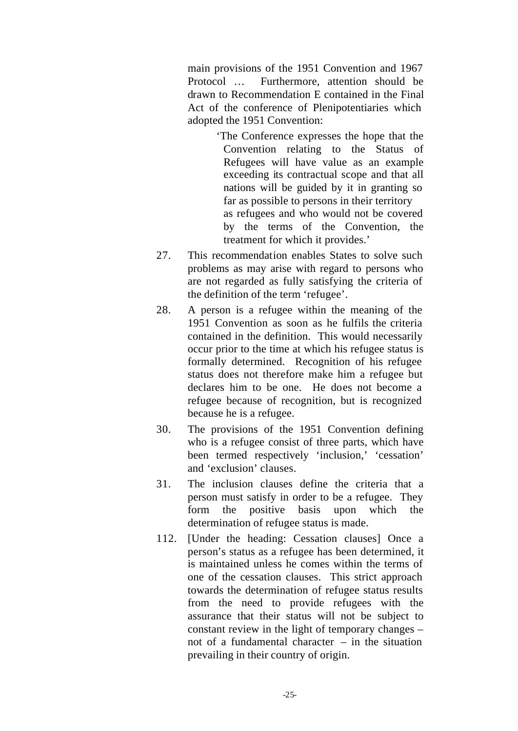main provisions of the 1951 Convention and 1967 Protocol … Furthermore, attention should be drawn to Recommendation E contained in the Final Act of the conference of Plenipotentiaries which adopted the 1951 Convention:

> 'The Conference expresses the hope that the Convention relating to the Status of Refugees will have value as an example exceeding its contractual scope and that all nations will be guided by it in granting so far as possible to persons in their territory as refugees and who would not be covered by the terms of the Convention, the treatment for which it provides.'

- 27. This recommendation enables States to solve such problems as may arise with regard to persons who are not regarded as fully satisfying the criteria of the definition of the term 'refugee'.
- 28. A person is a refugee within the meaning of the 1951 Convention as soon as he fulfils the criteria contained in the definition. This would necessarily occur prior to the time at which his refugee status is formally determined. Recognition of his refugee status does not therefore make him a refugee but declares him to be one. He does not become a refugee because of recognition, but is recognized because he is a refugee.
- 30. The provisions of the 1951 Convention defining who is a refugee consist of three parts, which have been termed respectively 'inclusion,' 'cessation' and 'exclusion' clauses.
- 31. The inclusion clauses define the criteria that a person must satisfy in order to be a refugee. They form the positive basis upon which the determination of refugee status is made.
- 112. [Under the heading: Cessation clauses] Once a person's status as a refugee has been determined, it is maintained unless he comes within the terms of one of the cessation clauses. This strict approach towards the determination of refugee status results from the need to provide refugees with the assurance that their status will not be subject to constant review in the light of temporary changes – not of a fundamental character – in the situation prevailing in their country of origin.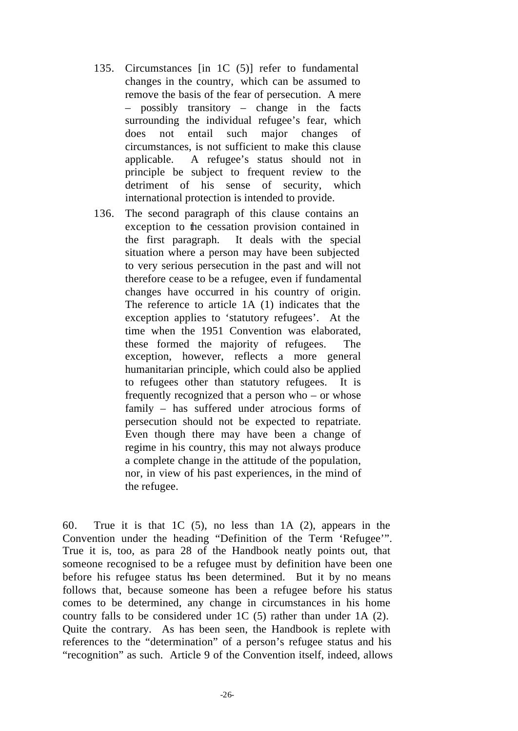- 135. Circumstances [in 1C (5)] refer to fundamental changes in the country, which can be assumed to remove the basis of the fear of persecution. A mere – possibly transitory – change in the facts surrounding the individual refugee's fear, which does not entail such major changes of circumstances, is not sufficient to make this clause applicable. A refugee's status should not in principle be subject to frequent review to the detriment of his sense of security, which international protection is intended to provide.
- 136. The second paragraph of this clause contains an exception to the cessation provision contained in the first paragraph. It deals with the special situation where a person may have been subjected to very serious persecution in the past and will not therefore cease to be a refugee, even if fundamental changes have occurred in his country of origin. The reference to article 1A (1) indicates that the exception applies to 'statutory refugees'. At the time when the 1951 Convention was elaborated, these formed the majority of refugees. The exception, however, reflects a more general humanitarian principle, which could also be applied to refugees other than statutory refugees. It is frequently recognized that a person who – or whose family – has suffered under atrocious forms of persecution should not be expected to repatriate. Even though there may have been a change of regime in his country, this may not always produce a complete change in the attitude of the population, nor, in view of his past experiences, in the mind of the refugee.

60. True it is that 1C (5), no less than 1A (2), appears in the Convention under the heading "Definition of the Term 'Refugee'". True it is, too, as para 28 of the Handbook neatly points out, that someone recognised to be a refugee must by definition have been one before his refugee status has been determined. But it by no means follows that, because someone has been a refugee before his status comes to be determined, any change in circumstances in his home country falls to be considered under 1C (5) rather than under 1A (2). Quite the contrary. As has been seen, the Handbook is replete with references to the "determination" of a person's refugee status and his "recognition" as such. Article 9 of the Convention itself, indeed, allows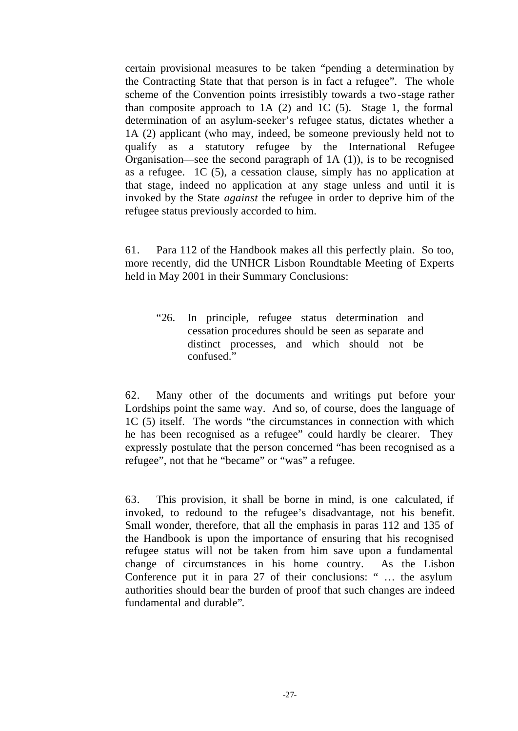certain provisional measures to be taken "pending a determination by the Contracting State that that person is in fact a refugee". The whole scheme of the Convention points irresistibly towards a two-stage rather than composite approach to 1A (2) and 1C (5). Stage 1, the formal determination of an asylum-seeker's refugee status, dictates whether a 1A (2) applicant (who may, indeed, be someone previously held not to qualify as a statutory refugee by the International Refugee Organisation—see the second paragraph of  $1A(1)$ , is to be recognised as a refugee. 1C (5), a cessation clause, simply has no application at that stage, indeed no application at any stage unless and until it is invoked by the State *against* the refugee in order to deprive him of the refugee status previously accorded to him.

61. Para 112 of the Handbook makes all this perfectly plain. So too, more recently, did the UNHCR Lisbon Roundtable Meeting of Experts held in May 2001 in their Summary Conclusions:

"26. In principle, refugee status determination and cessation procedures should be seen as separate and distinct processes, and which should not be confused."

62. Many other of the documents and writings put before your Lordships point the same way. And so, of course, does the language of 1C (5) itself. The words "the circumstances in connection with which he has been recognised as a refugee" could hardly be clearer. They expressly postulate that the person concerned "has been recognised as a refugee", not that he "became" or "was" a refugee.

63. This provision, it shall be borne in mind, is one calculated, if invoked, to redound to the refugee's disadvantage, not his benefit. Small wonder, therefore, that all the emphasis in paras 112 and 135 of the Handbook is upon the importance of ensuring that his recognised refugee status will not be taken from him save upon a fundamental change of circumstances in his home country. As the Lisbon Conference put it in para 27 of their conclusions: " … the asylum authorities should bear the burden of proof that such changes are indeed fundamental and durable".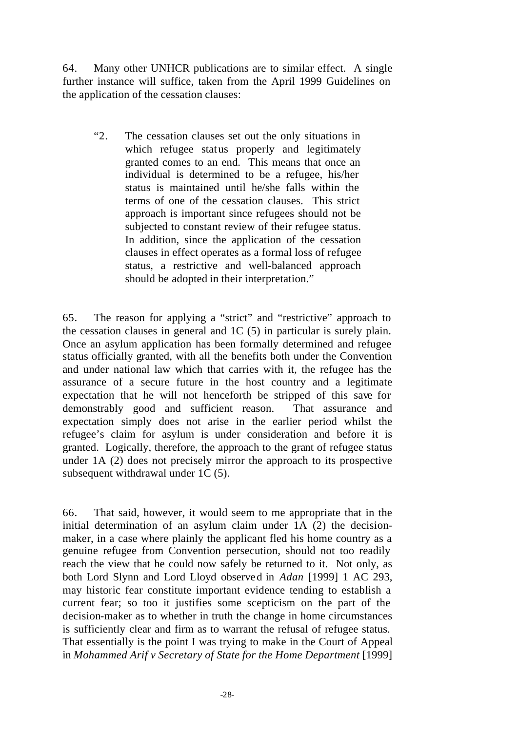64. Many other UNHCR publications are to similar effect. A single further instance will suffice, taken from the April 1999 Guidelines on the application of the cessation clauses:

"2. The cessation clauses set out the only situations in which refugee status properly and legitimately granted comes to an end. This means that once an individual is determined to be a refugee, his/her status is maintained until he/she falls within the terms of one of the cessation clauses. This strict approach is important since refugees should not be subjected to constant review of their refugee status. In addition, since the application of the cessation clauses in effect operates as a formal loss of refugee status, a restrictive and well-balanced approach should be adopted in their interpretation."

65. The reason for applying a "strict" and "restrictive" approach to the cessation clauses in general and 1C (5) in particular is surely plain. Once an asylum application has been formally determined and refugee status officially granted, with all the benefits both under the Convention and under national law which that carries with it, the refugee has the assurance of a secure future in the host country and a legitimate expectation that he will not henceforth be stripped of this save for demonstrably good and sufficient reason. That assurance and expectation simply does not arise in the earlier period whilst the refugee's claim for asylum is under consideration and before it is granted. Logically, therefore, the approach to the grant of refugee status under 1A (2) does not precisely mirror the approach to its prospective subsequent withdrawal under 1C (5).

66. That said, however, it would seem to me appropriate that in the initial determination of an asylum claim under 1A (2) the decisionmaker, in a case where plainly the applicant fled his home country as a genuine refugee from Convention persecution, should not too readily reach the view that he could now safely be returned to it. Not only, as both Lord Slynn and Lord Lloyd observed in *Adan* [1999] 1 AC 293, may historic fear constitute important evidence tending to establish a current fear; so too it justifies some scepticism on the part of the decision-maker as to whether in truth the change in home circumstances is sufficiently clear and firm as to warrant the refusal of refugee status. That essentially is the point I was trying to make in the Court of Appeal in *Mohammed Arif v Secretary of State for the Home Department* [1999]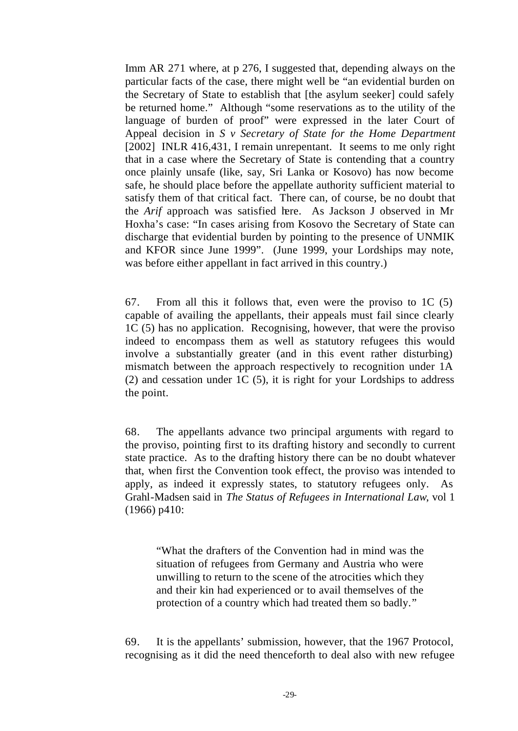Imm AR 271 where, at p 276, I suggested that, depending always on the particular facts of the case, there might well be "an evidential burden on the Secretary of State to establish that [the asylum seeker] could safely be returned home." Although "some reservations as to the utility of the language of burden of proof" were expressed in the later Court of Appeal decision in *S v Secretary of State for the Home Department* [2002] INLR 416,431, I remain unrepentant. It seems to me only right that in a case where the Secretary of State is contending that a country once plainly unsafe (like, say, Sri Lanka or Kosovo) has now become safe, he should place before the appellate authority sufficient material to satisfy them of that critical fact. There can, of course, be no doubt that the *Arif* approach was satisfied here. As Jackson J observed in Mr Hoxha's case: "In cases arising from Kosovo the Secretary of State can discharge that evidential burden by pointing to the presence of UNMIK and KFOR since June 1999". (June 1999, your Lordships may note, was before either appellant in fact arrived in this country.)

67. From all this it follows that, even were the proviso to 1C (5) capable of availing the appellants, their appeals must fail since clearly 1C (5) has no application. Recognising, however, that were the proviso indeed to encompass them as well as statutory refugees this would involve a substantially greater (and in this event rather disturbing) mismatch between the approach respectively to recognition under 1A (2) and cessation under 1C (5), it is right for your Lordships to address the point.

68. The appellants advance two principal arguments with regard to the proviso, pointing first to its drafting history and secondly to current state practice. As to the drafting history there can be no doubt whatever that, when first the Convention took effect, the proviso was intended to apply, as indeed it expressly states, to statutory refugees only. As Grahl-Madsen said in *The Status of Refugees in International Law*, vol 1 (1966) p410:

"What the drafters of the Convention had in mind was the situation of refugees from Germany and Austria who were unwilling to return to the scene of the atrocities which they and their kin had experienced or to avail themselves of the protection of a country which had treated them so badly."

69. It is the appellants' submission, however, that the 1967 Protocol, recognising as it did the need thenceforth to deal also with new refugee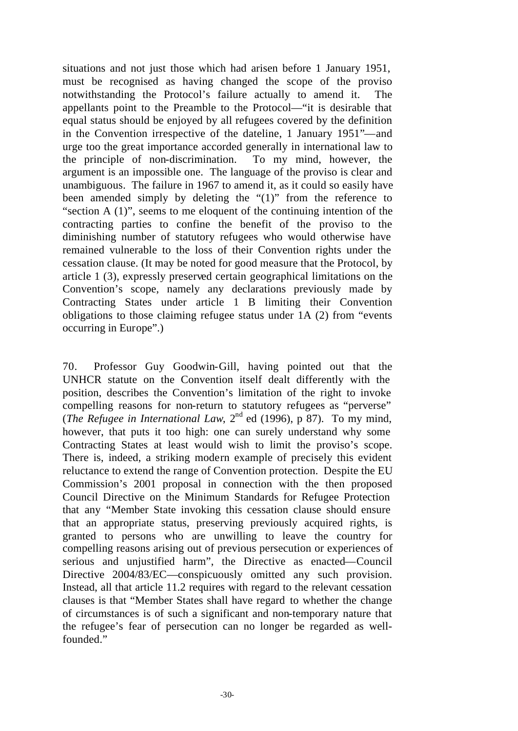situations and not just those which had arisen before 1 January 1951, must be recognised as having changed the scope of the proviso notwithstanding the Protocol's failure actually to amend it. The appellants point to the Preamble to the Protocol—"it is desirable that equal status should be enjoyed by all refugees covered by the definition in the Convention irrespective of the dateline, 1 January 1951"—and urge too the great importance accorded generally in international law to the principle of non-discrimination. To my mind, however, the argument is an impossible one. The language of the proviso is clear and unambiguous. The failure in 1967 to amend it, as it could so easily have been amended simply by deleting the "(1)" from the reference to "section A (1)", seems to me eloquent of the continuing intention of the contracting parties to confine the benefit of the proviso to the diminishing number of statutory refugees who would otherwise have remained vulnerable to the loss of their Convention rights under the cessation clause. (It may be noted for good measure that the Protocol, by article 1 (3), expressly preserved certain geographical limitations on the Convention's scope, namely any declarations previously made by Contracting States under article 1 B limiting their Convention obligations to those claiming refugee status under 1A (2) from "events occurring in Europe".)

70. Professor Guy Goodwin-Gill, having pointed out that the UNHCR statute on the Convention itself dealt differently with the position, describes the Convention's limitation of the right to invoke compelling reasons for non-return to statutory refugees as "perverse" (*The Refugee in International Law*,  $2^{nd}$  ed (1996), p 87). To my mind, however, that puts it too high: one can surely understand why some Contracting States at least would wish to limit the proviso's scope. There is, indeed, a striking modern example of precisely this evident reluctance to extend the range of Convention protection. Despite the EU Commission's 2001 proposal in connection with the then proposed Council Directive on the Minimum Standards for Refugee Protection that any "Member State invoking this cessation clause should ensure that an appropriate status, preserving previously acquired rights, is granted to persons who are unwilling to leave the country for compelling reasons arising out of previous persecution or experiences of serious and unjustified harm", the Directive as enacted—Council Directive 2004/83/EC—conspicuously omitted any such provision. Instead, all that article 11.2 requires with regard to the relevant cessation clauses is that "Member States shall have regard to whether the change of circumstances is of such a significant and non-temporary nature that the refugee's fear of persecution can no longer be regarded as wellfounded."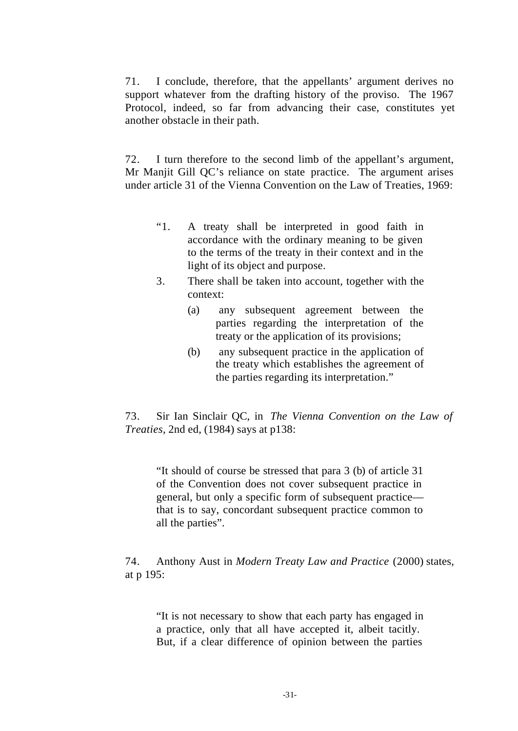71. I conclude, therefore, that the appellants' argument derives no support whatever from the drafting history of the proviso. The 1967 Protocol, indeed, so far from advancing their case, constitutes yet another obstacle in their path.

72. I turn therefore to the second limb of the appellant's argument, Mr Manjit Gill QC's reliance on state practice. The argument arises under article 31 of the Vienna Convention on the Law of Treaties, 1969:

- "1. A treaty shall be interpreted in good faith in accordance with the ordinary meaning to be given to the terms of the treaty in their context and in the light of its object and purpose.
- 3. There shall be taken into account, together with the context:
	- (a) any subsequent agreement between the parties regarding the interpretation of the treaty or the application of its provisions;
	- (b) any subsequent practice in the application of the treaty which establishes the agreement of the parties regarding its interpretation."

73. Sir Ian Sinclair QC, in *The Vienna Convention on the Law of Treaties*, 2nd ed, (1984) says at p138:

"It should of course be stressed that para 3 (b) of article 31 of the Convention does not cover subsequent practice in general, but only a specific form of subsequent practice that is to say, concordant subsequent practice common to all the parties".

74. Anthony Aust in *Modern Treaty Law and Practice* (2000) states, at p 195:

"It is not necessary to show that each party has engaged in a practice, only that all have accepted it, albeit tacitly. But, if a clear difference of opinion between the parties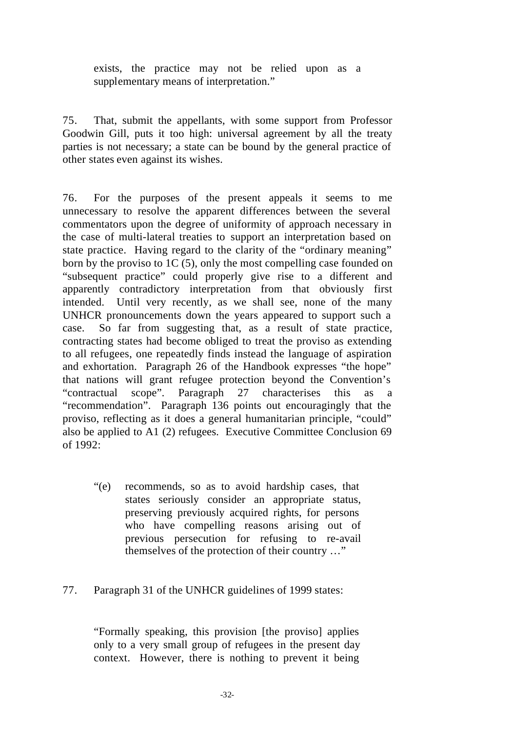exists, the practice may not be relied upon as a supplementary means of interpretation."

75. That, submit the appellants, with some support from Professor Goodwin Gill, puts it too high: universal agreement by all the treaty parties is not necessary; a state can be bound by the general practice of other states even against its wishes.

76. For the purposes of the present appeals it seems to me unnecessary to resolve the apparent differences between the several commentators upon the degree of uniformity of approach necessary in the case of multi-lateral treaties to support an interpretation based on state practice. Having regard to the clarity of the "ordinary meaning" born by the proviso to 1C (5), only the most compelling case founded on "subsequent practice" could properly give rise to a different and apparently contradictory interpretation from that obviously first intended. Until very recently, as we shall see, none of the many UNHCR pronouncements down the years appeared to support such a case. So far from suggesting that, as a result of state practice, contracting states had become obliged to treat the proviso as extending to all refugees, one repeatedly finds instead the language of aspiration and exhortation. Paragraph 26 of the Handbook expresses "the hope" that nations will grant refugee protection beyond the Convention's "contractual scope". Paragraph 27 characterises this as a "recommendation". Paragraph 136 points out encouragingly that the proviso, reflecting as it does a general humanitarian principle, "could" also be applied to A1 (2) refugees. Executive Committee Conclusion 69 of 1992:

- "(e) recommends, so as to avoid hardship cases, that states seriously consider an appropriate status, preserving previously acquired rights, for persons who have compelling reasons arising out of previous persecution for refusing to re-avail themselves of the protection of their country …"
- 77. Paragraph 31 of the UNHCR guidelines of 1999 states:

"Formally speaking, this provision [the proviso] applies only to a very small group of refugees in the present day context. However, there is nothing to prevent it being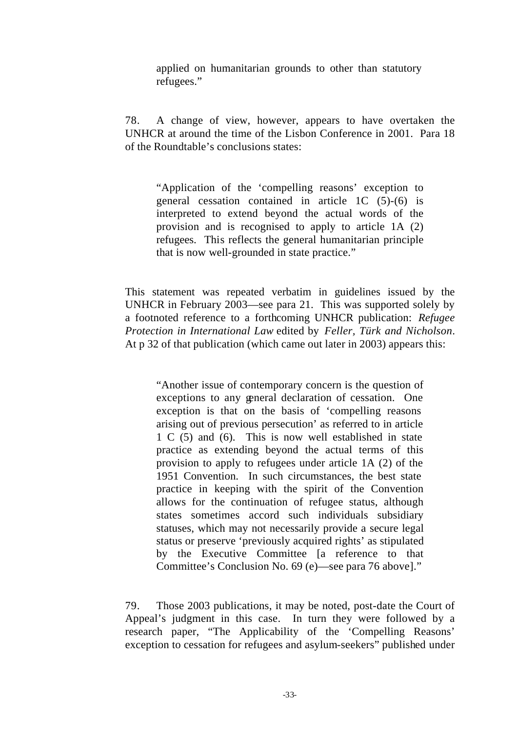applied on humanitarian grounds to other than statutory refugees."

78. A change of view, however, appears to have overtaken the UNHCR at around the time of the Lisbon Conference in 2001. Para 18 of the Roundtable's conclusions states:

"Application of the 'compelling reasons' exception to general cessation contained in article 1C (5)-(6) is interpreted to extend beyond the actual words of the provision and is recognised to apply to article 1A (2) refugees. This reflects the general humanitarian principle that is now well-grounded in state practice."

This statement was repeated verbatim in guidelines issued by the UNHCR in February 2003—see para 21. This was supported solely by a footnoted reference to a forthcoming UNHCR publication: *Refugee Protection in International Law* edited by *Feller, Türk and Nicholson*. At p 32 of that publication (which came out later in 2003) appears this:

"Another issue of contemporary concern is the question of exceptions to any general declaration of cessation. One exception is that on the basis of 'compelling reasons arising out of previous persecution' as referred to in article 1 C (5) and (6). This is now well established in state practice as extending beyond the actual terms of this provision to apply to refugees under article 1A (2) of the 1951 Convention. In such circumstances, the best state practice in keeping with the spirit of the Convention allows for the continuation of refugee status, although states sometimes accord such individuals subsidiary statuses, which may not necessarily provide a secure legal status or preserve 'previously acquired rights' as stipulated by the Executive Committee [a reference to that Committee's Conclusion No. 69 (e)—see para 76 above]."

79. Those 2003 publications, it may be noted, post-date the Court of Appeal's judgment in this case. In turn they were followed by a research paper, "The Applicability of the 'Compelling Reasons' exception to cessation for refugees and asylum-seekers" published under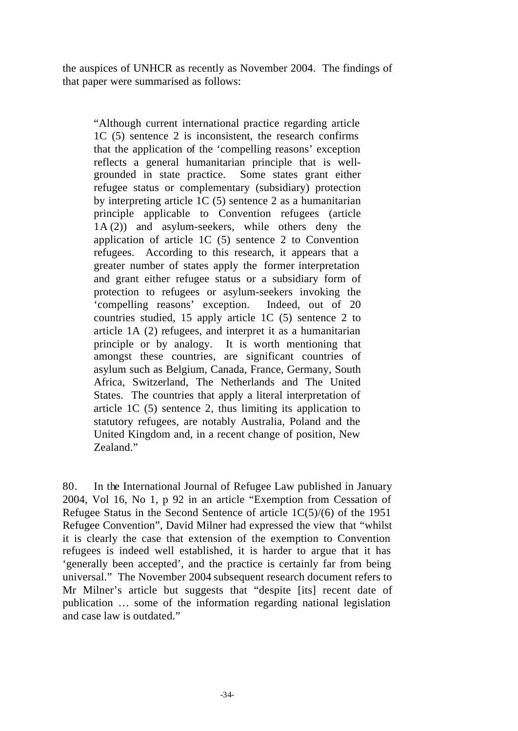the auspices of UNHCR as recently as November 2004. The findings of that paper were summarised as follows:

"Although current international practice regarding article 1C (5) sentence 2 is inconsistent, the research confirms that the application of the 'compelling reasons' exception reflects a general humanitarian principle that is wellgrounded in state practice. Some states grant either refugee status or complementary (subsidiary) protection by interpreting article 1C (5) sentence 2 as a humanitarian principle applicable to Convention refugees (article 1A (2)) and asylum-seekers, while others deny the application of article 1C (5) sentence 2 to Convention refugees. According to this research, it appears that a greater number of states apply the former interpretation and grant either refugee status or a subsidiary form of protection to refugees or asylum-seekers invoking the 'compelling reasons' exception. Indeed, out of 20 countries studied, 15 apply article 1C (5) sentence 2 to article 1A (2) refugees, and interpret it as a humanitarian principle or by analogy. It is worth mentioning that amongst these countries, are significant countries of asylum such as Belgium, Canada, France, Germany, South Africa, Switzerland, The Netherlands and The United States. The countries that apply a literal interpretation of article 1C (5) sentence 2, thus limiting its application to statutory refugees, are notably Australia, Poland and the United Kingdom and, in a recent change of position, New Zealand."

80. In the International Journal of Refugee Law published in January 2004, Vol 16, No 1, p 92 in an article "Exemption from Cessation of Refugee Status in the Second Sentence of article 1C(5)/(6) of the 1951 Refugee Convention", David Milner had expressed the view that "whilst it is clearly the case that extension of the exemption to Convention refugees is indeed well established, it is harder to argue that it has 'generally been accepted', and the practice is certainly far from being universal." The November 2004 subsequent research document refers to Mr Milner's article but suggests that "despite [its] recent date of publication … some of the information regarding national legislation and case law is outdated."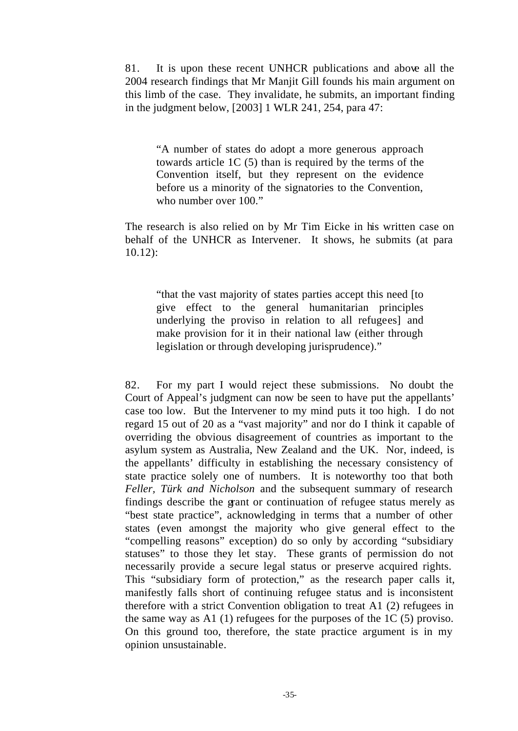81. It is upon these recent UNHCR publications and above all the 2004 research findings that Mr Manjit Gill founds his main argument on this limb of the case. They invalidate, he submits, an important finding in the judgment below, [2003] 1 WLR 241, 254, para 47:

"A number of states do adopt a more generous approach towards article 1C (5) than is required by the terms of the Convention itself, but they represent on the evidence before us a minority of the signatories to the Convention, who number over 100."

The research is also relied on by Mr Tim Eicke in his written case on behalf of the UNHCR as Intervener. It shows, he submits (at para 10.12):

"that the vast majority of states parties accept this need [to give effect to the general humanitarian principles underlying the proviso in relation to all refugees] and make provision for it in their national law (either through legislation or through developing jurisprudence)."

82. For my part I would reject these submissions. No doubt the Court of Appeal's judgment can now be seen to have put the appellants' case too low. But the Intervener to my mind puts it too high. I do not regard 15 out of 20 as a "vast majority" and nor do I think it capable of overriding the obvious disagreement of countries as important to the asylum system as Australia, New Zealand and the UK. Nor, indeed, is the appellants' difficulty in establishing the necessary consistency of state practice solely one of numbers. It is noteworthy too that both *Feller, Türk and Nicholson* and the subsequent summary of research findings describe the grant or continuation of refugee status merely as "best state practice", acknowledging in terms that a number of other states (even amongst the majority who give general effect to the "compelling reasons" exception) do so only by according "subsidiary statuses" to those they let stay. These grants of permission do not necessarily provide a secure legal status or preserve acquired rights. This "subsidiary form of protection," as the research paper calls it, manifestly falls short of continuing refugee status and is inconsistent therefore with a strict Convention obligation to treat A1 (2) refugees in the same way as A1 (1) refugees for the purposes of the 1C (5) proviso. On this ground too, therefore, the state practice argument is in my opinion unsustainable.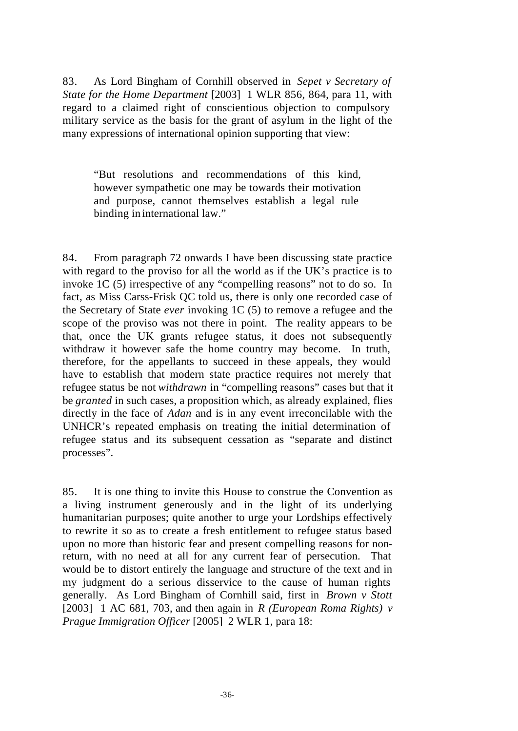83. As Lord Bingham of Cornhill observed in *Sepet v Secretary of State for the Home Department* [2003] 1 WLR 856, 864, para 11, with regard to a claimed right of conscientious objection to compulsory military service as the basis for the grant of asylum in the light of the many expressions of international opinion supporting that view:

"But resolutions and recommendations of this kind, however sympathetic one may be towards their motivation and purpose, cannot themselves establish a legal rule binding in international law."

84. From paragraph 72 onwards I have been discussing state practice with regard to the proviso for all the world as if the UK's practice is to invoke 1C (5) irrespective of any "compelling reasons" not to do so. In fact, as Miss Carss-Frisk QC told us, there is only one recorded case of the Secretary of State *ever* invoking 1C (5) to remove a refugee and the scope of the proviso was not there in point. The reality appears to be that, once the UK grants refugee status, it does not subsequently withdraw it however safe the home country may become. In truth, therefore, for the appellants to succeed in these appeals, they would have to establish that modern state practice requires not merely that refugee status be not *withdrawn* in "compelling reasons" cases but that it be *granted* in such cases, a proposition which, as already explained, flies directly in the face of *Adan* and is in any event irreconcilable with the UNHCR's repeated emphasis on treating the initial determination of refugee status and its subsequent cessation as "separate and distinct processes".

85. It is one thing to invite this House to construe the Convention as a living instrument generously and in the light of its underlying humanitarian purposes; quite another to urge your Lordships effectively to rewrite it so as to create a fresh entitlement to refugee status based upon no more than historic fear and present compelling reasons for nonreturn, with no need at all for any current fear of persecution. That would be to distort entirely the language and structure of the text and in my judgment do a serious disservice to the cause of human rights generally. As Lord Bingham of Cornhill said, first in *Brown v Stott* [2003] 1 AC 681, 703, and then again in *R (European Roma Rights) v Prague Immigration Officer* [2005] 2 WLR 1, para 18: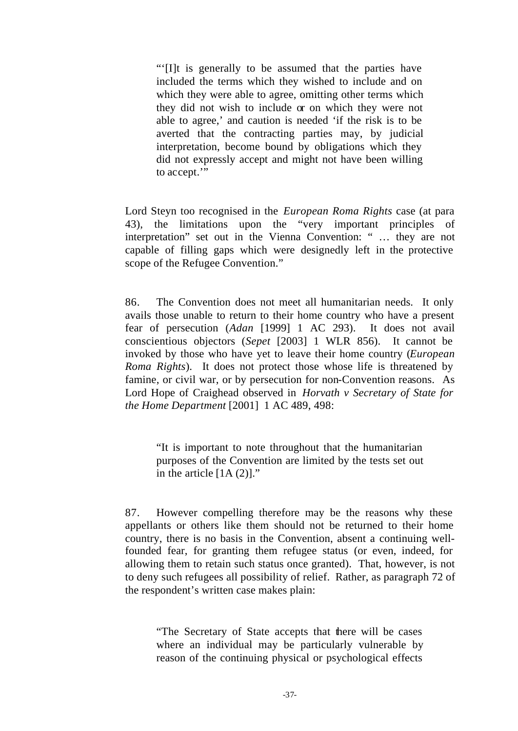"'[I]t is generally to be assumed that the parties have included the terms which they wished to include and on which they were able to agree, omitting other terms which they did not wish to include or on which they were not able to agree,' and caution is needed 'if the risk is to be averted that the contracting parties may, by judicial interpretation, become bound by obligations which they did not expressly accept and might not have been willing to accept.'"

Lord Steyn too recognised in the *European Roma Rights* case (at para 43), the limitations upon the "very important principles of interpretation" set out in the Vienna Convention: " … they are not capable of filling gaps which were designedly left in the protective scope of the Refugee Convention."

86. The Convention does not meet all humanitarian needs. It only avails those unable to return to their home country who have a present fear of persecution (*Adan* [1999] 1 AC 293). It does not avail conscientious objectors (*Sepet* [2003] 1 WLR 856). It cannot be invoked by those who have yet to leave their home country (*European Roma Rights*). It does not protect those whose life is threatened by famine, or civil war, or by persecution for non-Convention reasons. As Lord Hope of Craighead observed in *Horvath v Secretary of State for the Home Department* [2001] 1 AC 489, 498:

"It is important to note throughout that the humanitarian purposes of the Convention are limited by the tests set out in the article  $[1A (2)].$ "

87. However compelling therefore may be the reasons why these appellants or others like them should not be returned to their home country, there is no basis in the Convention, absent a continuing wellfounded fear, for granting them refugee status (or even, indeed, for allowing them to retain such status once granted). That, however, is not to deny such refugees all possibility of relief. Rather, as paragraph 72 of the respondent's written case makes plain:

"The Secretary of State accepts that there will be cases where an individual may be particularly vulnerable by reason of the continuing physical or psychological effects